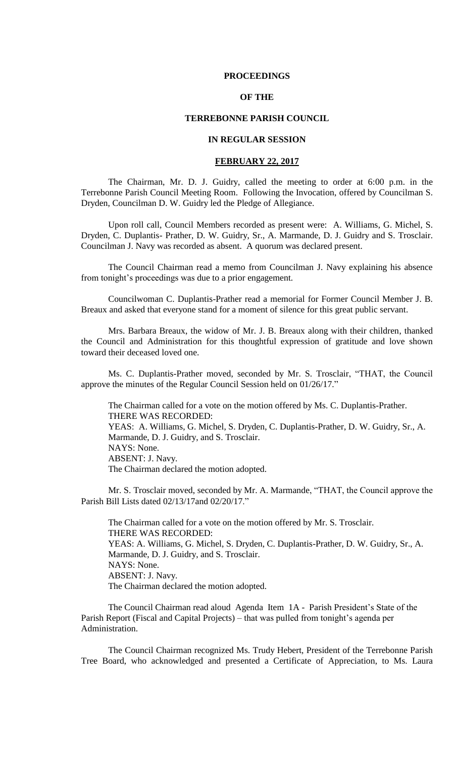#### **PROCEEDINGS**

## **OF THE**

### **TERREBONNE PARISH COUNCIL**

## **IN REGULAR SESSION**

### **FEBRUARY 22, 2017**

The Chairman, Mr. D. J. Guidry, called the meeting to order at 6:00 p.m. in the Terrebonne Parish Council Meeting Room. Following the Invocation, offered by Councilman S. Dryden, Councilman D. W. Guidry led the Pledge of Allegiance.

Upon roll call, Council Members recorded as present were: A. Williams, G. Michel, S. Dryden, C. Duplantis- Prather, D. W. Guidry, Sr., A. Marmande, D. J. Guidry and S. Trosclair. Councilman J. Navy was recorded as absent. A quorum was declared present.

The Council Chairman read a memo from Councilman J. Navy explaining his absence from tonight's proceedings was due to a prior engagement.

Councilwoman C. Duplantis-Prather read a memorial for Former Council Member J. B. Breaux and asked that everyone stand for a moment of silence for this great public servant.

Mrs. Barbara Breaux, the widow of Mr. J. B. Breaux along with their children, thanked the Council and Administration for this thoughtful expression of gratitude and love shown toward their deceased loved one.

Ms. C. Duplantis-Prather moved, seconded by Mr. S. Trosclair, "THAT, the Council approve the minutes of the Regular Council Session held on 01/26/17."

The Chairman called for a vote on the motion offered by Ms. C. Duplantis-Prather. THERE WAS RECORDED: YEAS: A. Williams, G. Michel, S. Dryden, C. Duplantis-Prather, D. W. Guidry, Sr., A. Marmande, D. J. Guidry, and S. Trosclair. NAYS: None. ABSENT: J. Navy. The Chairman declared the motion adopted.

Mr. S. Trosclair moved, seconded by Mr. A. Marmande, "THAT, the Council approve the Parish Bill Lists dated 02/13/17and 02/20/17."

The Chairman called for a vote on the motion offered by Mr. S. Trosclair. THERE WAS RECORDED: YEAS: A. Williams, G. Michel, S. Dryden, C. Duplantis-Prather, D. W. Guidry, Sr., A. Marmande, D. J. Guidry, and S. Trosclair. NAYS: None. ABSENT: J. Navy. The Chairman declared the motion adopted.

The Council Chairman read aloud AgendaItem 1A - Parish President's State of the Parish Report (Fiscal and Capital Projects) – that was pulled from tonight's agenda per Administration.

The Council Chairman recognized Ms. Trudy Hebert, President of the Terrebonne Parish Tree Board, who acknowledged and presented a Certificate of Appreciation, to Ms. Laura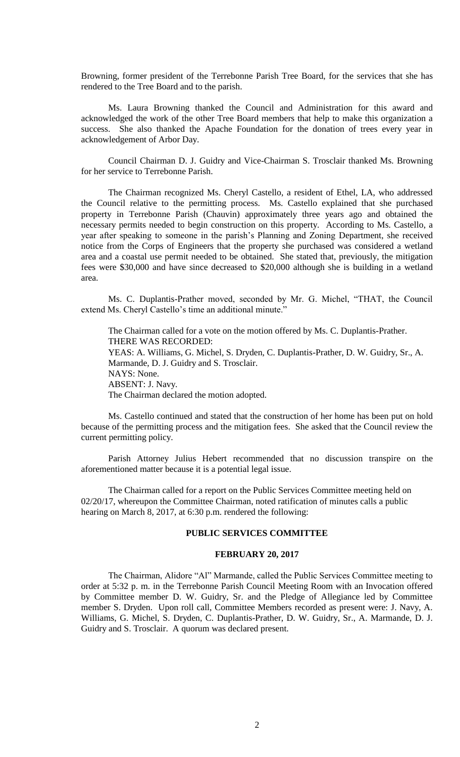Browning, former president of the Terrebonne Parish Tree Board, for the services that she has rendered to the Tree Board and to the parish.

Ms. Laura Browning thanked the Council and Administration for this award and acknowledged the work of the other Tree Board members that help to make this organization a success. She also thanked the Apache Foundation for the donation of trees every year in acknowledgement of Arbor Day.

Council Chairman D. J. Guidry and Vice-Chairman S. Trosclair thanked Ms. Browning for her service to Terrebonne Parish.

The Chairman recognized Ms. Cheryl Castello, a resident of Ethel, LA, who addressed the Council relative to the permitting process. Ms. Castello explained that she purchased property in Terrebonne Parish (Chauvin) approximately three years ago and obtained the necessary permits needed to begin construction on this property. According to Ms. Castello, a year after speaking to someone in the parish's Planning and Zoning Department, she received notice from the Corps of Engineers that the property she purchased was considered a wetland area and a coastal use permit needed to be obtained. She stated that, previously, the mitigation fees were \$30,000 and have since decreased to \$20,000 although she is building in a wetland area.

Ms. C. Duplantis-Prather moved, seconded by Mr. G. Michel, "THAT, the Council extend Ms. Cheryl Castello's time an additional minute."

The Chairman called for a vote on the motion offered by Ms. C. Duplantis-Prather. THERE WAS RECORDED: YEAS: A. Williams, G. Michel, S. Dryden, C. Duplantis-Prather, D. W. Guidry, Sr., A. Marmande, D. J. Guidry and S. Trosclair. NAYS: None. ABSENT: J. Navy. The Chairman declared the motion adopted.

 Ms. Castello continued and stated that the construction of her home has been put on hold because of the permitting process and the mitigation fees. She asked that the Council review the current permitting policy.

Parish Attorney Julius Hebert recommended that no discussion transpire on the aforementioned matter because it is a potential legal issue.

The Chairman called for a report on the Public Services Committee meeting held on 02/20/17, whereupon the Committee Chairman, noted ratification of minutes calls a public hearing on March 8, 2017, at 6:30 p.m. rendered the following:

## **PUBLIC SERVICES COMMITTEE**

### **FEBRUARY 20, 2017**

The Chairman, Alidore "Al" Marmande, called the Public Services Committee meeting to order at 5:32 p. m. in the Terrebonne Parish Council Meeting Room with an Invocation offered by Committee member D. W. Guidry, Sr. and the Pledge of Allegiance led by Committee member S. Dryden. Upon roll call, Committee Members recorded as present were: J. Navy, A. Williams, G. Michel, S. Dryden, C. Duplantis-Prather, D. W. Guidry, Sr., A. Marmande, D. J. Guidry and S. Trosclair. A quorum was declared present.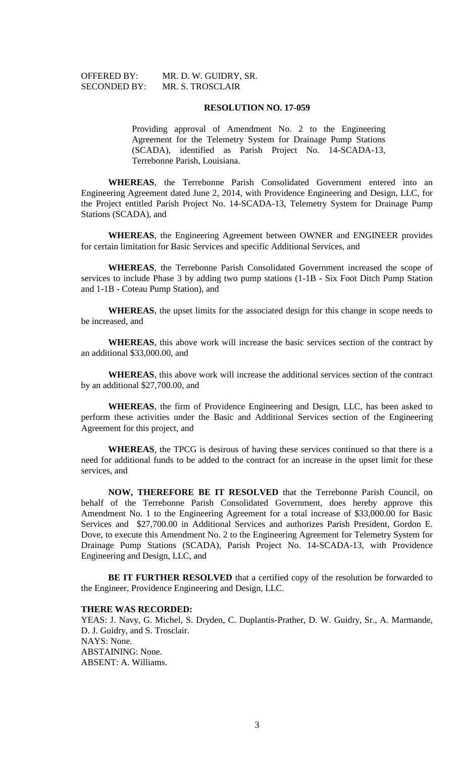| <b>OFFERED BY:</b>  | MR. D. W. GUIDRY, SR. |
|---------------------|-----------------------|
| <b>SECONDED BY:</b> | MR. S. TROSCLAIR      |

#### **RESOLUTION NO. 17-059**

Providing approval of Amendment No. 2 to the Engineering Agreement for the Telemetry System for Drainage Pump Stations (SCADA), identified as Parish Project No. 14-SCADA-13, Terrebonne Parish, Louisiana.

**WHEREAS**, the Terrebonne Parish Consolidated Government entered into an Engineering Agreement dated June 2, 2014, with Providence Engineering and Design, LLC, for the Project entitled Parish Project No. 14-SCADA-13, Telemetry System for Drainage Pump Stations (SCADA), and

**WHEREAS**, the Engineering Agreement between OWNER and ENGINEER provides for certain limitation for Basic Services and specific Additional Services, and

**WHEREAS**, the Terrebonne Parish Consolidated Government increased the scope of services to include Phase 3 by adding two pump stations (1-1B - Six Foot Ditch Pump Station and 1-1B - Coteau Pump Station), and

**WHEREAS**, the upset limits for the associated design for this change in scope needs to be increased, and

**WHEREAS**, this above work will increase the basic services section of the contract by an additional \$33,000.00, and

**WHEREAS**, this above work will increase the additional services section of the contract by an additional \$27,700.00, and

**WHEREAS**, the firm of Providence Engineering and Design, LLC, has been asked to perform these activities under the Basic and Additional Services section of the Engineering Agreement for this project, and

**WHEREAS**, the TPCG is desirous of having these services continued so that there is a need for additional funds to be added to the contract for an increase in the upset limit for these services, and

**NOW, THEREFORE BE IT RESOLVED** that the Terrebonne Parish Council, on behalf of the Terrebonne Parish Consolidated Government, does hereby approve this Amendment No. 1 to the Engineering Agreement for a total increase of \$33,000.00 for Basic Services and \$27,700.00 in Additional Services and authorizes Parish President, Gordon E. Dove, to execute this Amendment No. 2 to the Engineering Agreement for Telemetry System for Drainage Pump Stations (SCADA), Parish Project No. 14-SCADA-13, with Providence Engineering and Design, LLC, and

**BE IT FURTHER RESOLVED** that a certified copy of the resolution be forwarded to the Engineer, Providence Engineering and Design, LLC.

# **THERE WAS RECORDED:**

YEAS: J. Navy, G. Michel, S. Dryden, C. Duplantis-Prather, D. W. Guidry, Sr., A. Marmande, D. J. Guidry, and S. Trosclair. NAYS: None. ABSTAINING: None. ABSENT: A. Williams.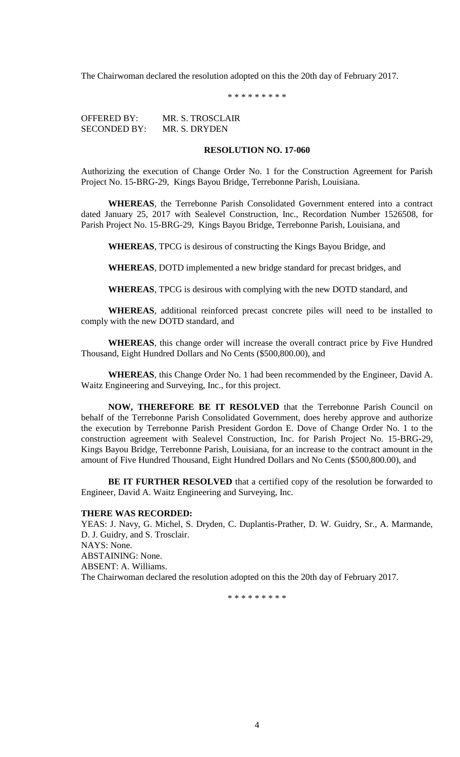The Chairwoman declared the resolution adopted on this the 20th day of February 2017.

\* \* \* \* \* \* \* \* \*

OFFERED BY: MR. S. TROSCLAIR SECONDED BY: MR. S. DRYDEN

# **RESOLUTION NO. 17-060**

Authorizing the execution of Change Order No. 1 for the Construction Agreement for Parish Project No. 15-BRG-29, Kings Bayou Bridge, Terrebonne Parish, Louisiana.

**WHEREAS**, the Terrebonne Parish Consolidated Government entered into a contract dated January 25, 2017 with Sealevel Construction, Inc., Recordation Number 1526508, for Parish Project No. 15-BRG-29, Kings Bayou Bridge, Terrebonne Parish, Louisiana, and

**WHEREAS**, TPCG is desirous of constructing the Kings Bayou Bridge, and

**WHEREAS**, DOTD implemented a new bridge standard for precast bridges, and

**WHEREAS**, TPCG is desirous with complying with the new DOTD standard, and

**WHEREAS**, additional reinforced precast concrete piles will need to be installed to comply with the new DOTD standard, and

**WHEREAS**, this change order will increase the overall contract price by Five Hundred Thousand, Eight Hundred Dollars and No Cents (\$500,800.00), and

**WHEREAS**, this Change Order No. 1 had been recommended by the Engineer, David A. Waitz Engineering and Surveying, Inc., for this project.

**NOW, THEREFORE BE IT RESOLVED** that the Terrebonne Parish Council on behalf of the Terrebonne Parish Consolidated Government, does hereby approve and authorize the execution by Terrebonne Parish President Gordon E. Dove of Change Order No. 1 to the construction agreement with Sealevel Construction, Inc. for Parish Project No. 15-BRG-29, Kings Bayou Bridge, Terrebonne Parish, Louisiana, for an increase to the contract amount in the amount of Five Hundred Thousand, Eight Hundred Dollars and No Cents (\$500,800.00), and

**BE IT FURTHER RESOLVED** that a certified copy of the resolution be forwarded to Engineer, David A. Waitz Engineering and Surveying, Inc.

## **THERE WAS RECORDED:**

YEAS: J. Navy, G. Michel, S. Dryden, C. Duplantis-Prather, D. W. Guidry, Sr., A. Marmande, D. J. Guidry, and S. Trosclair. NAYS: None. ABSTAINING: None. ABSENT: A. Williams. The Chairwoman declared the resolution adopted on this the 20th day of February 2017.

\* \* \* \* \* \* \* \* \*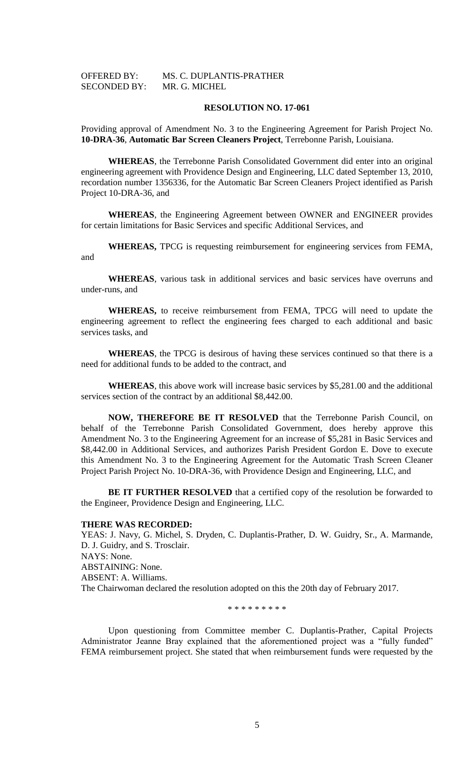| <b>OFFERED BY:</b>  | MS. C. DUPLANTIS-PRATHER |
|---------------------|--------------------------|
| <b>SECONDED BY:</b> | MR. G. MICHEL            |

#### **RESOLUTION NO. 17-061**

Providing approval of Amendment No. 3 to the Engineering Agreement for Parish Project No. **10-DRA-36**, **Automatic Bar Screen Cleaners Project**, Terrebonne Parish, Louisiana.

**WHEREAS**, the Terrebonne Parish Consolidated Government did enter into an original engineering agreement with Providence Design and Engineering, LLC dated September 13, 2010, recordation number 1356336, for the Automatic Bar Screen Cleaners Project identified as Parish Project 10-DRA-36, and

**WHEREAS**, the Engineering Agreement between OWNER and ENGINEER provides for certain limitations for Basic Services and specific Additional Services, and

**WHEREAS,** TPCG is requesting reimbursement for engineering services from FEMA, and

**WHEREAS**, various task in additional services and basic services have overruns and under-runs, and

**WHEREAS,** to receive reimbursement from FEMA, TPCG will need to update the engineering agreement to reflect the engineering fees charged to each additional and basic services tasks, and

**WHEREAS**, the TPCG is desirous of having these services continued so that there is a need for additional funds to be added to the contract, and

**WHEREAS**, this above work will increase basic services by \$5,281.00 and the additional services section of the contract by an additional \$8,442.00.

**NOW, THEREFORE BE IT RESOLVED** that the Terrebonne Parish Council, on behalf of the Terrebonne Parish Consolidated Government, does hereby approve this Amendment No. 3 to the Engineering Agreement for an increase of \$5,281 in Basic Services and \$8,442.00 in Additional Services, and authorizes Parish President Gordon E. Dove to execute this Amendment No. 3 to the Engineering Agreement for the Automatic Trash Screen Cleaner Project Parish Project No. 10-DRA-36, with Providence Design and Engineering, LLC, and

**BE IT FURTHER RESOLVED** that a certified copy of the resolution be forwarded to the Engineer, Providence Design and Engineering, LLC.

#### **THERE WAS RECORDED:**

YEAS: J. Navy, G. Michel, S. Dryden, C. Duplantis-Prather, D. W. Guidry, Sr., A. Marmande, D. J. Guidry, and S. Trosclair. NAYS: None. ABSTAINING: None. ABSENT: A. Williams. The Chairwoman declared the resolution adopted on this the 20th day of February 2017.

\* \* \* \* \* \* \* \* \*

Upon questioning from Committee member C. Duplantis-Prather, Capital Projects Administrator Jeanne Bray explained that the aforementioned project was a "fully funded" FEMA reimbursement project. She stated that when reimbursement funds were requested by the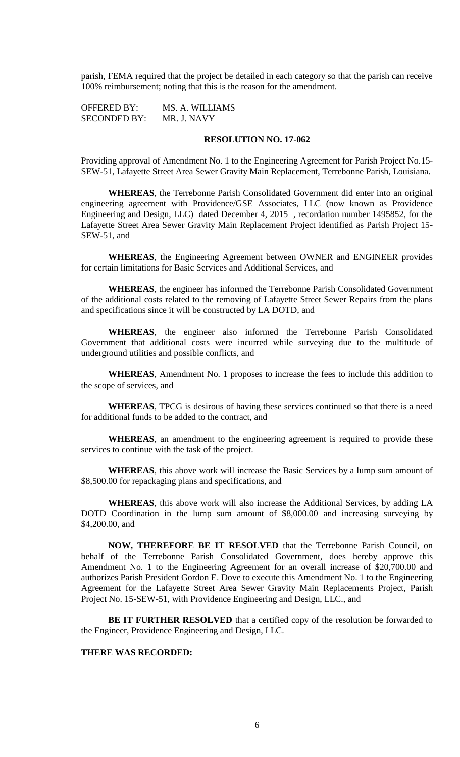parish, FEMA required that the project be detailed in each category so that the parish can receive 100% reimbursement; noting that this is the reason for the amendment.

OFFERED BY: MS. A. WILLIAMS SECONDED BY: MR. J. NAVY

## **RESOLUTION NO. 17-062**

Providing approval of Amendment No. 1 to the Engineering Agreement for Parish Project No.15- SEW-51, Lafayette Street Area Sewer Gravity Main Replacement, Terrebonne Parish, Louisiana.

**WHEREAS**, the Terrebonne Parish Consolidated Government did enter into an original engineering agreement with Providence/GSE Associates, LLC (now known as Providence Engineering and Design, LLC) dated December 4, 2015 , recordation number 1495852, for the Lafayette Street Area Sewer Gravity Main Replacement Project identified as Parish Project 15- SEW-51, and

**WHEREAS**, the Engineering Agreement between OWNER and ENGINEER provides for certain limitations for Basic Services and Additional Services, and

**WHEREAS**, the engineer has informed the Terrebonne Parish Consolidated Government of the additional costs related to the removing of Lafayette Street Sewer Repairs from the plans and specifications since it will be constructed by LA DOTD, and

**WHEREAS**, the engineer also informed the Terrebonne Parish Consolidated Government that additional costs were incurred while surveying due to the multitude of underground utilities and possible conflicts, and

**WHEREAS**, Amendment No. 1 proposes to increase the fees to include this addition to the scope of services, and

**WHEREAS**, TPCG is desirous of having these services continued so that there is a need for additional funds to be added to the contract, and

**WHEREAS**, an amendment to the engineering agreement is required to provide these services to continue with the task of the project.

**WHEREAS**, this above work will increase the Basic Services by a lump sum amount of \$8,500.00 for repackaging plans and specifications, and

**WHEREAS**, this above work will also increase the Additional Services, by adding LA DOTD Coordination in the lump sum amount of \$8,000.00 and increasing surveying by \$4,200.00, and

**NOW, THEREFORE BE IT RESOLVED** that the Terrebonne Parish Council, on behalf of the Terrebonne Parish Consolidated Government, does hereby approve this Amendment No. 1 to the Engineering Agreement for an overall increase of \$20,700.00 and authorizes Parish President Gordon E. Dove to execute this Amendment No. 1 to the Engineering Agreement for the Lafayette Street Area Sewer Gravity Main Replacements Project, Parish Project No. 15-SEW-51, with Providence Engineering and Design, LLC., and

**BE IT FURTHER RESOLVED** that a certified copy of the resolution be forwarded to the Engineer, Providence Engineering and Design, LLC.

# **THERE WAS RECORDED:**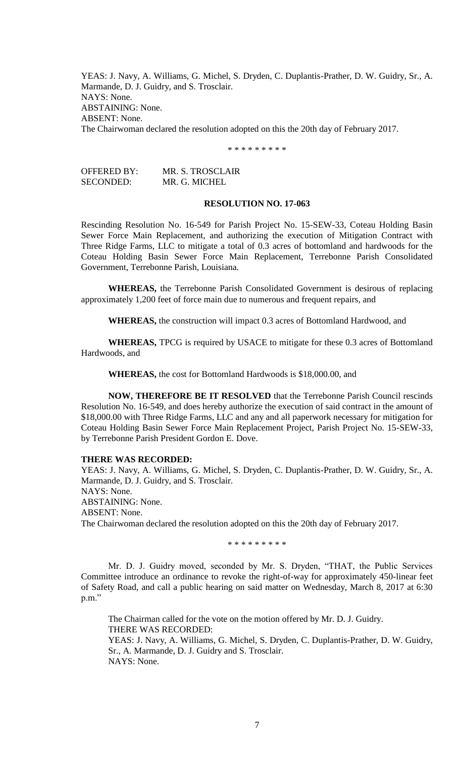YEAS: J. Navy, A. Williams, G. Michel, S. Dryden, C. Duplantis-Prather, D. W. Guidry, Sr., A. Marmande, D. J. Guidry, and S. Trosclair. NAYS: None. ABSTAINING: None. ABSENT: None. The Chairwoman declared the resolution adopted on this the 20th day of February 2017.

\* \* \* \* \* \* \* \* \*

| OFFERED BY: | MR. S. TROSCLAIR |
|-------------|------------------|
| SECONDED:   | MR. G. MICHEL    |

#### **RESOLUTION NO. 17-063**

Rescinding Resolution No. 16-549 for Parish Project No. 15-SEW-33, Coteau Holding Basin Sewer Force Main Replacement, and authorizing the execution of Mitigation Contract with Three Ridge Farms, LLC to mitigate a total of 0.3 acres of bottomland and hardwoods for the Coteau Holding Basin Sewer Force Main Replacement, Terrebonne Parish Consolidated Government, Terrebonne Parish, Louisiana.

**WHEREAS,** the Terrebonne Parish Consolidated Government is desirous of replacing approximately 1,200 feet of force main due to numerous and frequent repairs, and

**WHEREAS,** the construction will impact 0.3 acres of Bottomland Hardwood, and

**WHEREAS,** TPCG is required by USACE to mitigate for these 0.3 acres of Bottomland Hardwoods, and

**WHEREAS,** the cost for Bottomland Hardwoods is \$18,000.00, and

**NOW, THEREFORE BE IT RESOLVED** that the Terrebonne Parish Council rescinds Resolution No. 16-549, and does hereby authorize the execution of said contract in the amount of \$18,000.00 with Three Ridge Farms, LLC and any and all paperwork necessary for mitigation for Coteau Holding Basin Sewer Force Main Replacement Project, Parish Project No. 15-SEW-33, by Terrebonne Parish President Gordon E. Dove.

### **THERE WAS RECORDED:**

YEAS: J. Navy, A. Williams, G. Michel, S. Dryden, C. Duplantis-Prather, D. W. Guidry, Sr., A. Marmande, D. J. Guidry, and S. Trosclair. NAYS: None. ABSTAINING: None. ABSENT: None. The Chairwoman declared the resolution adopted on this the 20th day of February 2017.

\* \* \* \* \* \* \* \* \*

Mr. D. J. Guidry moved, seconded by Mr. S. Dryden, "THAT, the Public Services Committee introduce an ordinance to revoke the right-of-way for approximately 450-linear feet of Safety Road, and call a public hearing on said matter on Wednesday, March 8, 2017 at 6:30 p.m."

The Chairman called for the vote on the motion offered by Mr. D. J. Guidry. THERE WAS RECORDED: YEAS: J. Navy, A. Williams, G. Michel, S. Dryden, C. Duplantis-Prather, D. W. Guidry, Sr., A. Marmande, D. J. Guidry and S. Trosclair.

NAYS: None.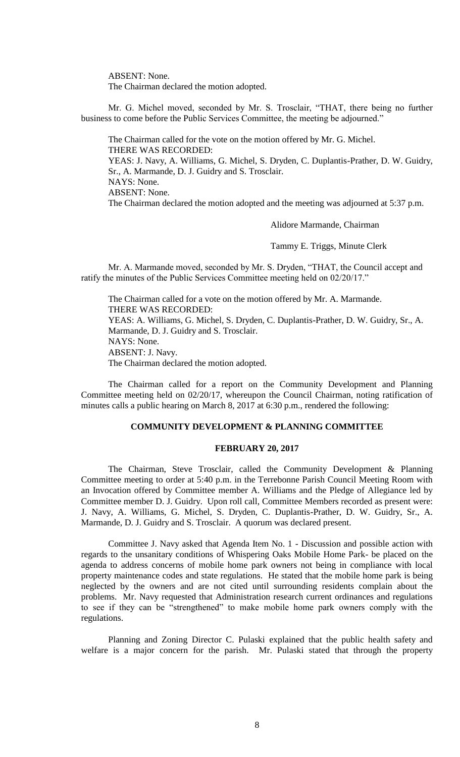ABSENT: None.

The Chairman declared the motion adopted.

Mr. G. Michel moved, seconded by Mr. S. Trosclair, "THAT, there being no further business to come before the Public Services Committee, the meeting be adjourned."

The Chairman called for the vote on the motion offered by Mr. G. Michel. THERE WAS RECORDED: YEAS: J. Navy, A. Williams, G. Michel, S. Dryden, C. Duplantis-Prather, D. W. Guidry, Sr., A. Marmande, D. J. Guidry and S. Trosclair. NAYS: None. ABSENT: None. The Chairman declared the motion adopted and the meeting was adjourned at 5:37 p.m.

Alidore Marmande, Chairman

Tammy E. Triggs, Minute Clerk

Mr. A. Marmande moved, seconded by Mr. S. Dryden, "THAT, the Council accept and ratify the minutes of the Public Services Committee meeting held on 02/20/17."

The Chairman called for a vote on the motion offered by Mr. A. Marmande. THERE WAS RECORDED: YEAS: A. Williams, G. Michel, S. Dryden, C. Duplantis-Prather, D. W. Guidry, Sr., A. Marmande, D. J. Guidry and S. Trosclair. NAYS: None. ABSENT: J. Navy. The Chairman declared the motion adopted.

The Chairman called for a report on the Community Development and Planning Committee meeting held on 02/20/17, whereupon the Council Chairman, noting ratification of minutes calls a public hearing on March 8, 2017 at 6:30 p.m., rendered the following:

### **COMMUNITY DEVELOPMENT & PLANNING COMMITTEE**

# **FEBRUARY 20, 2017**

The Chairman, Steve Trosclair, called the Community Development & Planning Committee meeting to order at 5:40 p.m. in the Terrebonne Parish Council Meeting Room with an Invocation offered by Committee member A. Williams and the Pledge of Allegiance led by Committee member D. J. Guidry. Upon roll call, Committee Members recorded as present were: J. Navy, A. Williams, G. Michel, S. Dryden, C. Duplantis-Prather, D. W. Guidry, Sr., A. Marmande, D. J. Guidry and S. Trosclair. A quorum was declared present.

Committee J. Navy asked that Agenda Item No. 1 - Discussion and possible action with regards to the unsanitary conditions of Whispering Oaks Mobile Home Park- be placed on the agenda to address concerns of mobile home park owners not being in compliance with local property maintenance codes and state regulations. He stated that the mobile home park is being neglected by the owners and are not cited until surrounding residents complain about the problems. Mr. Navy requested that Administration research current ordinances and regulations to see if they can be "strengthened" to make mobile home park owners comply with the regulations.

Planning and Zoning Director C. Pulaski explained that the public health safety and welfare is a major concern for the parish. Mr. Pulaski stated that through the property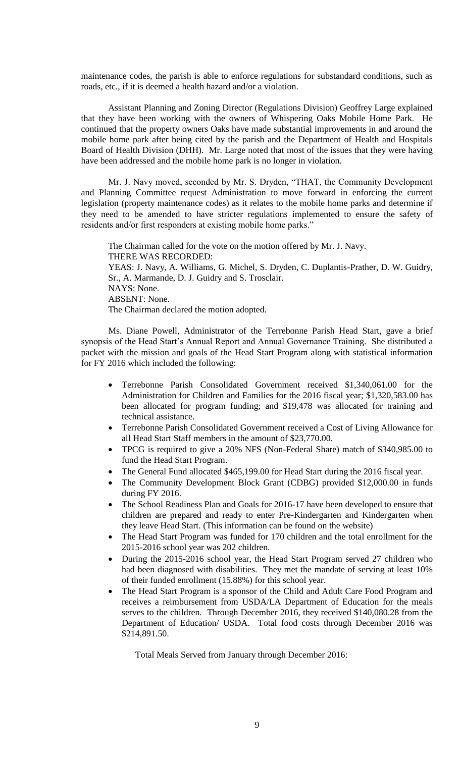maintenance codes, the parish is able to enforce regulations for substandard conditions, such as roads, etc., if it is deemed a health hazard and/or a violation.

Assistant Planning and Zoning Director (Regulations Division) Geoffrey Large explained that they have been working with the owners of Whispering Oaks Mobile Home Park. He continued that the property owners Oaks have made substantial improvements in and around the mobile home park after being cited by the parish and the Department of Health and Hospitals Board of Health Division (DHH). Mr. Large noted that most of the issues that they were having have been addressed and the mobile home park is no longer in violation.

Mr. J. Navy moved, seconded by Mr. S. Dryden, "THAT, the Community Development and Planning Committee request Administration to move forward in enforcing the current legislation (property maintenance codes) as it relates to the mobile home parks and determine if they need to be amended to have stricter regulations implemented to ensure the safety of residents and/or first responders at existing mobile home parks."

The Chairman called for the vote on the motion offered by Mr. J. Navy. THERE WAS RECORDED: YEAS: J. Navy, A. Williams, G. Michel, S. Dryden, C. Duplantis-Prather, D. W. Guidry, Sr., A. Marmande, D. J. Guidry and S. Trosclair. NAYS: None. ABSENT: None. The Chairman declared the motion adopted.

Ms. Diane Powell, Administrator of the Terrebonne Parish Head Start, gave a brief synopsis of the Head Start's Annual Report and Annual Governance Training. She distributed a packet with the mission and goals of the Head Start Program along with statistical information for FY 2016 which included the following:

- Terrebonne Parish Consolidated Government received \$1,340,061.00 for the Administration for Children and Families for the 2016 fiscal year; \$1,320,583.00 has been allocated for program funding; and \$19,478 was allocated for training and technical assistance.
- Terrebonne Parish Consolidated Government received a Cost of Living Allowance for all Head Start Staff members in the amount of \$23,770.00.
- TPCG is required to give a 20% NFS (Non-Federal Share) match of \$340,985.00 to fund the Head Start Program.
- The General Fund allocated \$465,199.00 for Head Start during the 2016 fiscal year.
- The Community Development Block Grant (CDBG) provided \$12,000.00 in funds during FY 2016.
- The School Readiness Plan and Goals for 2016-17 have been developed to ensure that children are prepared and ready to enter Pre-Kindergarten and Kindergarten when they leave Head Start. (This information can be found on the website)
- The Head Start Program was funded for 170 children and the total enrollment for the 2015-2016 school year was 202 children.
- During the 2015-2016 school year, the Head Start Program served 27 children who had been diagnosed with disabilities. They met the mandate of serving at least 10% of their funded enrollment (15.88%) for this school year.
- The Head Start Program is a sponsor of the Child and Adult Care Food Program and receives a reimbursement from USDA/LA Department of Education for the meals serves to the children. Through December 2016, they received \$140,080.28 from the Department of Education/ USDA. Total food costs through December 2016 was \$214,891.50.

Total Meals Served from January through December 2016: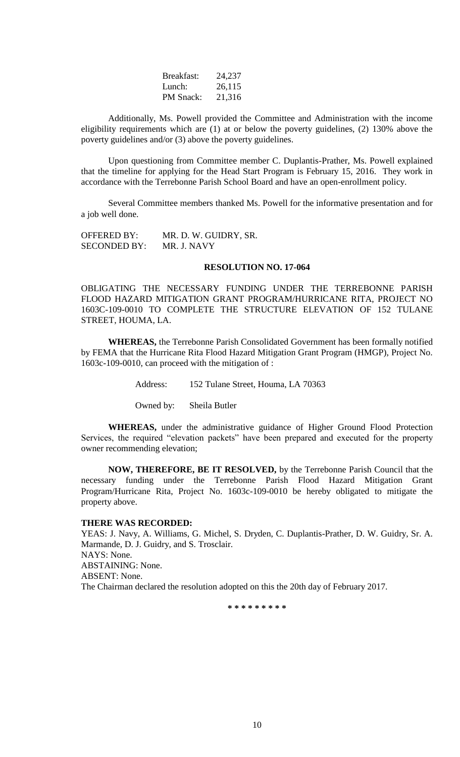| Breakfast:       | 24,237 |
|------------------|--------|
| Lunch:           | 26,115 |
| <b>PM</b> Snack: | 21,316 |

Additionally, Ms. Powell provided the Committee and Administration with the income eligibility requirements which are (1) at or below the poverty guidelines, (2) 130% above the poverty guidelines and/or (3) above the poverty guidelines.

Upon questioning from Committee member C. Duplantis-Prather, Ms. Powell explained that the timeline for applying for the Head Start Program is February 15, 2016. They work in accordance with the Terrebonne Parish School Board and have an open-enrollment policy.

Several Committee members thanked Ms. Powell for the informative presentation and for a job well done.

| <b>OFFERED BY:</b>  | MR. D. W. GUIDRY, SR. |
|---------------------|-----------------------|
| <b>SECONDED BY:</b> | MR. J. NAVY           |

#### **RESOLUTION NO. 17-064**

OBLIGATING THE NECESSARY FUNDING UNDER THE TERREBONNE PARISH FLOOD HAZARD MITIGATION GRANT PROGRAM/HURRICANE RITA, PROJECT NO 1603C-109-0010 TO COMPLETE THE STRUCTURE ELEVATION OF 152 TULANE STREET, HOUMA, LA.

**WHEREAS,** the Terrebonne Parish Consolidated Government has been formally notified by FEMA that the Hurricane Rita Flood Hazard Mitigation Grant Program (HMGP), Project No. 1603c-109-0010, can proceed with the mitigation of :

Address: 152 Tulane Street, Houma, LA 70363

Owned by: Sheila Butler

**WHEREAS,** under the administrative guidance of Higher Ground Flood Protection Services, the required "elevation packets" have been prepared and executed for the property owner recommending elevation;

**NOW, THEREFORE, BE IT RESOLVED,** by the Terrebonne Parish Council that the necessary funding under the Terrebonne Parish Flood Hazard Mitigation Grant Program/Hurricane Rita, Project No. 1603c-109-0010 be hereby obligated to mitigate the property above.

### **THERE WAS RECORDED:**

YEAS: J. Navy, A. Williams, G. Michel, S. Dryden, C. Duplantis-Prather, D. W. Guidry, Sr. A. Marmande, D. J. Guidry, and S. Trosclair. NAYS: None. ABSTAINING: None. ABSENT: None. The Chairman declared the resolution adopted on this the 20th day of February 2017.

**\* \* \* \* \* \* \* \* \***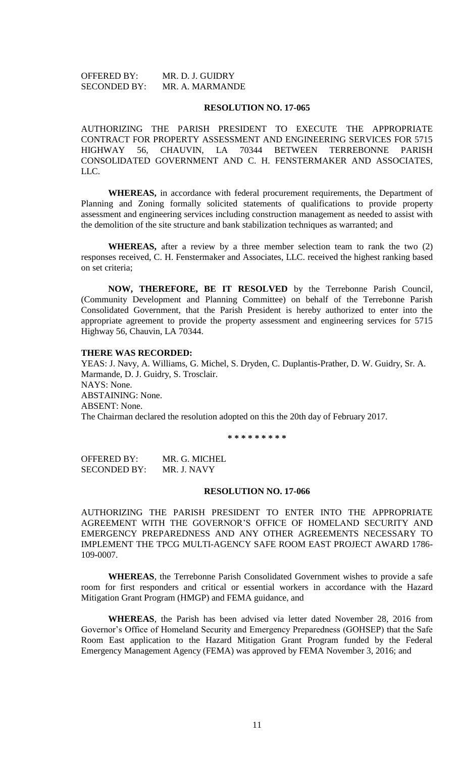OFFERED BY: MR. D. J. GUIDRY SECONDED BY: MR. A. MARMANDE

#### **RESOLUTION NO. 17-065**

AUTHORIZING THE PARISH PRESIDENT TO EXECUTE THE APPROPRIATE CONTRACT FOR PROPERTY ASSESSMENT AND ENGINEERING SERVICES FOR 5715 HIGHWAY 56, CHAUVIN, LA 70344 BETWEEN TERREBONNE PARISH CONSOLIDATED GOVERNMENT AND C. H. FENSTERMAKER AND ASSOCIATES, LLC.

**WHEREAS,** in accordance with federal procurement requirements, the Department of Planning and Zoning formally solicited statements of qualifications to provide property assessment and engineering services including construction management as needed to assist with the demolition of the site structure and bank stabilization techniques as warranted; and

**WHEREAS,** after a review by a three member selection team to rank the two (2) responses received, C. H. Fenstermaker and Associates, LLC. received the highest ranking based on set criteria;

**NOW, THEREFORE, BE IT RESOLVED** by the Terrebonne Parish Council, (Community Development and Planning Committee) on behalf of the Terrebonne Parish Consolidated Government, that the Parish President is hereby authorized to enter into the appropriate agreement to provide the property assessment and engineering services for 5715 Highway 56, Chauvin, LA 70344.

#### **THERE WAS RECORDED:**

YEAS: J. Navy, A. Williams, G. Michel, S. Dryden, C. Duplantis-Prather, D. W. Guidry, Sr. A. Marmande, D. J. Guidry, S. Trosclair. NAYS: None. ABSTAINING: None. ABSENT: None. The Chairman declared the resolution adopted on this the 20th day of February 2017.

**\* \* \* \* \* \* \* \* \***

OFFERED BY: MR. G. MICHEL SECONDED BY: MR. J. NAVY

#### **RESOLUTION NO. 17-066**

AUTHORIZING THE PARISH PRESIDENT TO ENTER INTO THE APPROPRIATE AGREEMENT WITH THE GOVERNOR'S OFFICE OF HOMELAND SECURITY AND EMERGENCY PREPAREDNESS AND ANY OTHER AGREEMENTS NECESSARY TO IMPLEMENT THE TPCG MULTI-AGENCY SAFE ROOM EAST PROJECT AWARD 1786- 109-0007.

**WHEREAS**, the Terrebonne Parish Consolidated Government wishes to provide a safe room for first responders and critical or essential workers in accordance with the Hazard Mitigation Grant Program (HMGP) and FEMA guidance, and

**WHEREAS**, the Parish has been advised via letter dated November 28, 2016 from Governor's Office of Homeland Security and Emergency Preparedness (GOHSEP) that the Safe Room East application to the Hazard Mitigation Grant Program funded by the Federal Emergency Management Agency (FEMA) was approved by FEMA November 3, 2016; and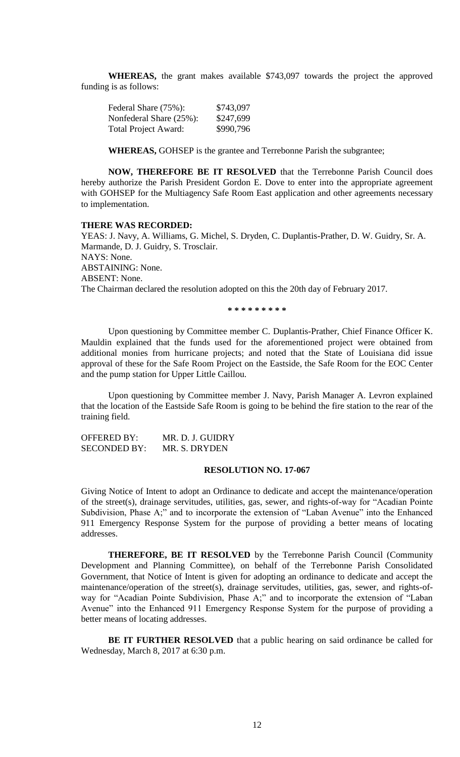**WHEREAS,** the grant makes available \$743,097 towards the project the approved funding is as follows:

| Federal Share (75%):        | \$743,097 |
|-----------------------------|-----------|
| Nonfederal Share (25%):     | \$247,699 |
| <b>Total Project Award:</b> | \$990,796 |

**WHEREAS,** GOHSEP is the grantee and Terrebonne Parish the subgrantee;

**NOW, THEREFORE BE IT RESOLVED** that the Terrebonne Parish Council does hereby authorize the Parish President Gordon E. Dove to enter into the appropriate agreement with GOHSEP for the Multiagency Safe Room East application and other agreements necessary to implementation.

#### **THERE WAS RECORDED:**

YEAS: J. Navy, A. Williams, G. Michel, S. Dryden, C. Duplantis-Prather, D. W. Guidry, Sr. A. Marmande, D. J. Guidry, S. Trosclair. NAYS: None. ABSTAINING: None. ABSENT: None. The Chairman declared the resolution adopted on this the 20th day of February 2017.

**\* \* \* \* \* \* \* \* \***

Upon questioning by Committee member C. Duplantis-Prather, Chief Finance Officer K. Mauldin explained that the funds used for the aforementioned project were obtained from additional monies from hurricane projects; and noted that the State of Louisiana did issue approval of these for the Safe Room Project on the Eastside, the Safe Room for the EOC Center and the pump station for Upper Little Caillou.

Upon questioning by Committee member J. Navy, Parish Manager A. Levron explained that the location of the Eastside Safe Room is going to be behind the fire station to the rear of the training field.

OFFERED BY: MR. D. J. GUIDRY SECONDED BY: MR. S. DRYDEN

#### **RESOLUTION NO. 17-067**

Giving Notice of Intent to adopt an Ordinance to dedicate and accept the maintenance/operation of the street(s), drainage servitudes, utilities, gas, sewer, and rights-of-way for "Acadian Pointe Subdivision, Phase A;" and to incorporate the extension of "Laban Avenue" into the Enhanced 911 Emergency Response System for the purpose of providing a better means of locating addresses.

**THEREFORE, BE IT RESOLVED** by the Terrebonne Parish Council (Community Development and Planning Committee), on behalf of the Terrebonne Parish Consolidated Government, that Notice of Intent is given for adopting an ordinance to dedicate and accept the maintenance/operation of the street(s), drainage servitudes, utilities, gas, sewer, and rights-ofway for "Acadian Pointe Subdivision, Phase A;" and to incorporate the extension of "Laban Avenue" into the Enhanced 911 Emergency Response System for the purpose of providing a better means of locating addresses.

**BE IT FURTHER RESOLVED** that a public hearing on said ordinance be called for Wednesday, March 8, 2017 at 6:30 p.m.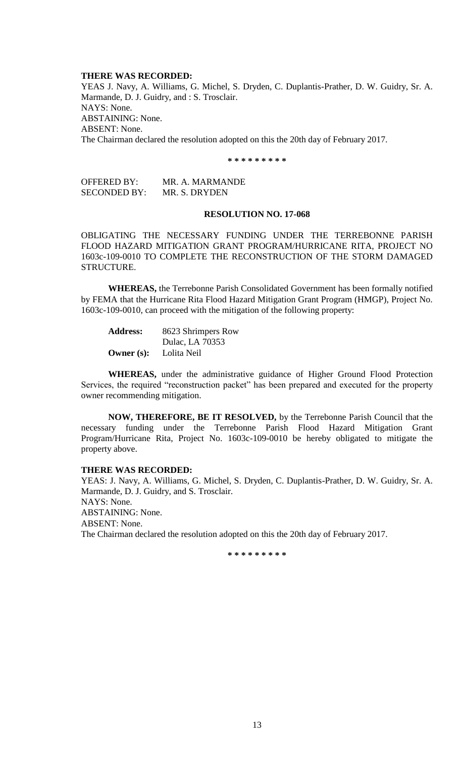#### **THERE WAS RECORDED:**

YEAS J. Navy, A. Williams, G. Michel, S. Dryden, C. Duplantis-Prather, D. W. Guidry, Sr. A. Marmande, D. J. Guidry, and : S. Trosclair. NAYS: None. ABSTAINING: None. ABSENT: None. The Chairman declared the resolution adopted on this the 20th day of February 2017.

**\* \* \* \* \* \* \* \* \***

OFFERED BY: MR. A. MARMANDE SECONDED BY: MR. S. DRYDEN

#### **RESOLUTION NO. 17-068**

OBLIGATING THE NECESSARY FUNDING UNDER THE TERREBONNE PARISH FLOOD HAZARD MITIGATION GRANT PROGRAM/HURRICANE RITA, PROJECT NO 1603c-109-0010 TO COMPLETE THE RECONSTRUCTION OF THE STORM DAMAGED STRUCTURE.

**WHEREAS,** the Terrebonne Parish Consolidated Government has been formally notified by FEMA that the Hurricane Rita Flood Hazard Mitigation Grant Program (HMGP), Project No. 1603c-109-0010, can proceed with the mitigation of the following property:

| <b>Address:</b> | 8623 Shrimpers Row |
|-----------------|--------------------|
|                 | Dulac, LA 70353    |
| Owner $(s)$ :   | Lolita Neil        |

**WHEREAS,** under the administrative guidance of Higher Ground Flood Protection Services, the required "reconstruction packet" has been prepared and executed for the property owner recommending mitigation.

**NOW, THEREFORE, BE IT RESOLVED,** by the Terrebonne Parish Council that the necessary funding under the Terrebonne Parish Flood Hazard Mitigation Grant Program/Hurricane Rita, Project No. 1603c-109-0010 be hereby obligated to mitigate the property above.

#### **THERE WAS RECORDED:**

YEAS: J. Navy, A. Williams, G. Michel, S. Dryden, C. Duplantis-Prather, D. W. Guidry, Sr. A. Marmande, D. J. Guidry, and S. Trosclair. NAYS: None. ABSTAINING: None. ABSENT: None. The Chairman declared the resolution adopted on this the 20th day of February 2017.

**\* \* \* \* \* \* \* \* \***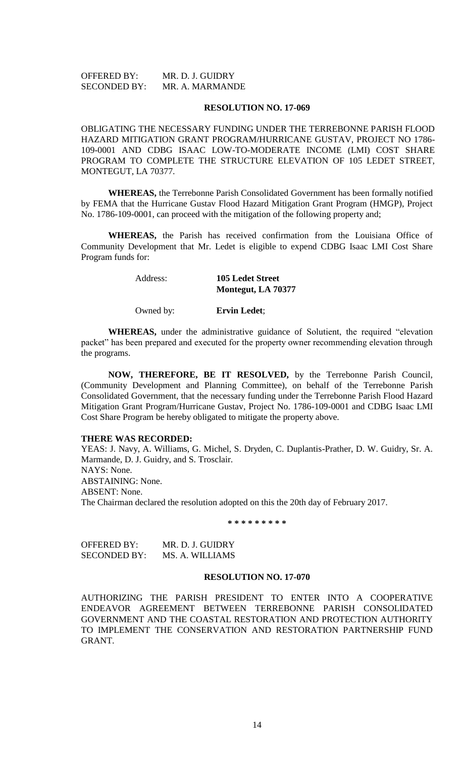OFFERED BY: MR. D. J. GUIDRY SECONDED BY: MR. A. MARMANDE

#### **RESOLUTION NO. 17-069**

OBLIGATING THE NECESSARY FUNDING UNDER THE TERREBONNE PARISH FLOOD HAZARD MITIGATION GRANT PROGRAM/HURRICANE GUSTAV, PROJECT NO 1786- 109-0001 AND CDBG ISAAC LOW-TO-MODERATE INCOME (LMI) COST SHARE PROGRAM TO COMPLETE THE STRUCTURE ELEVATION OF 105 LEDET STREET, MONTEGUT, LA 70377.

**WHEREAS,** the Terrebonne Parish Consolidated Government has been formally notified by FEMA that the Hurricane Gustav Flood Hazard Mitigation Grant Program (HMGP), Project No. 1786-109-0001, can proceed with the mitigation of the following property and;

**WHEREAS,** the Parish has received confirmation from the Louisiana Office of Community Development that Mr. Ledet is eligible to expend CDBG Isaac LMI Cost Share Program funds for:

#### Address: **105 Ledet Street Montegut, LA 70377**

Owned by: **Ervin Ledet**;

**WHEREAS,** under the administrative guidance of Solutient, the required "elevation packet" has been prepared and executed for the property owner recommending elevation through the programs.

**NOW, THEREFORE, BE IT RESOLVED,** by the Terrebonne Parish Council, (Community Development and Planning Committee), on behalf of the Terrebonne Parish Consolidated Government, that the necessary funding under the Terrebonne Parish Flood Hazard Mitigation Grant Program/Hurricane Gustav, Project No. 1786-109-0001 and CDBG Isaac LMI Cost Share Program be hereby obligated to mitigate the property above.

### **THERE WAS RECORDED:**

YEAS: J. Navy, A. Williams, G. Michel, S. Dryden, C. Duplantis-Prather, D. W. Guidry, Sr. A. Marmande, D. J. Guidry, and S. Trosclair. NAYS: None. ABSTAINING: None. ABSENT: None. The Chairman declared the resolution adopted on this the 20th day of February 2017.

**\* \* \* \* \* \* \* \* \***

| <b>OFFERED BY:</b>  | MR. D. J. GUIDRY |
|---------------------|------------------|
| <b>SECONDED BY:</b> | MS. A. WILLIAMS  |

#### **RESOLUTION NO. 17-070**

AUTHORIZING THE PARISH PRESIDENT TO ENTER INTO A COOPERATIVE ENDEAVOR AGREEMENT BETWEEN TERREBONNE PARISH CONSOLIDATED GOVERNMENT AND THE COASTAL RESTORATION AND PROTECTION AUTHORITY TO IMPLEMENT THE CONSERVATION AND RESTORATION PARTNERSHIP FUND GRANT.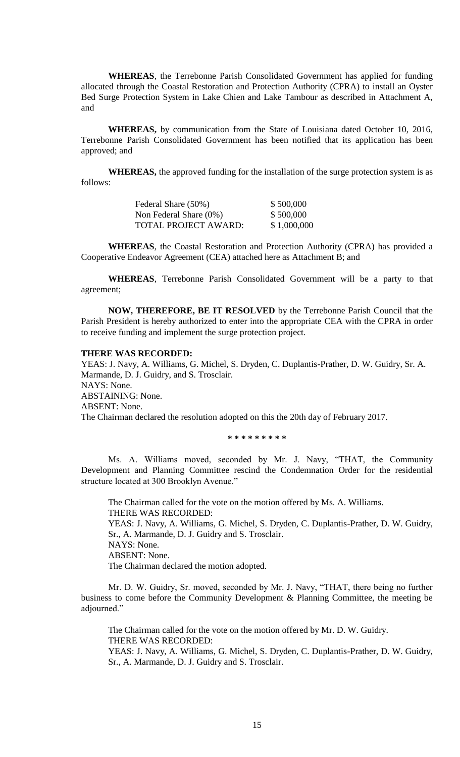**WHEREAS**, the Terrebonne Parish Consolidated Government has applied for funding allocated through the Coastal Restoration and Protection Authority (CPRA) to install an Oyster Bed Surge Protection System in Lake Chien and Lake Tambour as described in Attachment A, and

**WHEREAS,** by communication from the State of Louisiana dated October 10, 2016, Terrebonne Parish Consolidated Government has been notified that its application has been approved; and

**WHEREAS,** the approved funding for the installation of the surge protection system is as follows:

| Federal Share (50%)         | \$500,000   |
|-----------------------------|-------------|
| Non Federal Share $(0\%)$   | \$500,000   |
| <b>TOTAL PROJECT AWARD:</b> | \$1,000,000 |

**WHEREAS**, the Coastal Restoration and Protection Authority (CPRA) has provided a Cooperative Endeavor Agreement (CEA) attached here as Attachment B; and

**WHEREAS**, Terrebonne Parish Consolidated Government will be a party to that agreement;

**NOW, THEREFORE, BE IT RESOLVED** by the Terrebonne Parish Council that the Parish President is hereby authorized to enter into the appropriate CEA with the CPRA in order to receive funding and implement the surge protection project.

### **THERE WAS RECORDED:**

YEAS: J. Navy, A. Williams, G. Michel, S. Dryden, C. Duplantis-Prather, D. W. Guidry, Sr. A. Marmande, D. J. Guidry, and S. Trosclair. NAYS: None. ABSTAINING: None. ABSENT: None. The Chairman declared the resolution adopted on this the 20th day of February 2017.

**\* \* \* \* \* \* \* \* \***

Ms. A. Williams moved, seconded by Mr. J. Navy, "THAT, the Community Development and Planning Committee rescind the Condemnation Order for the residential structure located at 300 Brooklyn Avenue."

The Chairman called for the vote on the motion offered by Ms. A. Williams. THERE WAS RECORDED: YEAS: J. Navy, A. Williams, G. Michel, S. Dryden, C. Duplantis-Prather, D. W. Guidry, Sr., A. Marmande, D. J. Guidry and S. Trosclair. NAYS: None. ABSENT: None. The Chairman declared the motion adopted.

Mr. D. W. Guidry, Sr. moved, seconded by Mr. J. Navy, "THAT, there being no further business to come before the Community Development & Planning Committee, the meeting be adjourned."

The Chairman called for the vote on the motion offered by Mr. D. W. Guidry. THERE WAS RECORDED: YEAS: J. Navy, A. Williams, G. Michel, S. Dryden, C. Duplantis-Prather, D. W. Guidry, Sr., A. Marmande, D. J. Guidry and S. Trosclair.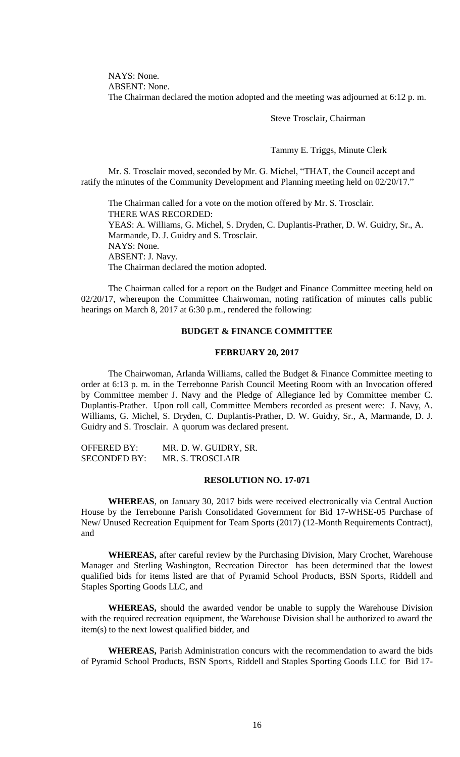NAYS: None. ABSENT: None. The Chairman declared the motion adopted and the meeting was adjourned at 6:12 p. m.

Steve Trosclair, Chairman

Tammy E. Triggs, Minute Clerk

Mr. S. Trosclair moved, seconded by Mr. G. Michel, "THAT, the Council accept and ratify the minutes of the Community Development and Planning meeting held on 02/20/17."

The Chairman called for a vote on the motion offered by Mr. S. Trosclair. THERE WAS RECORDED: YEAS: A. Williams, G. Michel, S. Dryden, C. Duplantis-Prather, D. W. Guidry, Sr., A. Marmande, D. J. Guidry and S. Trosclair. NAYS: None. ABSENT: J. Navy. The Chairman declared the motion adopted.

The Chairman called for a report on the Budget and Finance Committee meeting held on 02/20/17, whereupon the Committee Chairwoman, noting ratification of minutes calls public hearings on March 8, 2017 at 6:30 p.m., rendered the following:

## **BUDGET & FINANCE COMMITTEE**

### **FEBRUARY 20, 2017**

The Chairwoman, Arlanda Williams, called the Budget & Finance Committee meeting to order at 6:13 p. m. in the Terrebonne Parish Council Meeting Room with an Invocation offered by Committee member J. Navy and the Pledge of Allegiance led by Committee member C. Duplantis-Prather. Upon roll call, Committee Members recorded as present were: J. Navy, A. Williams, G. Michel, S. Dryden, C. Duplantis-Prather, D. W. Guidry, Sr., A, Marmande, D. J. Guidry and S. Trosclair. A quorum was declared present.

OFFERED BY: MR. D. W. GUIDRY, SR. SECONDED BY: MR. S. TROSCLAIR

#### **RESOLUTION NO. 17-071**

**WHEREAS**, on January 30, 2017 bids were received electronically via Central Auction House by the Terrebonne Parish Consolidated Government for Bid 17-WHSE-05 Purchase of New/ Unused Recreation Equipment for Team Sports (2017) (12-Month Requirements Contract), and

**WHEREAS,** after careful review by the Purchasing Division, Mary Crochet, Warehouse Manager and Sterling Washington, Recreation Director has been determined that the lowest qualified bids for items listed are that of Pyramid School Products, BSN Sports, Riddell and Staples Sporting Goods LLC, and

**WHEREAS,** should the awarded vendor be unable to supply the Warehouse Division with the required recreation equipment, the Warehouse Division shall be authorized to award the item(s) to the next lowest qualified bidder, and

**WHEREAS,** Parish Administration concurs with the recommendation to award the bids of Pyramid School Products, BSN Sports, Riddell and Staples Sporting Goods LLC for Bid 17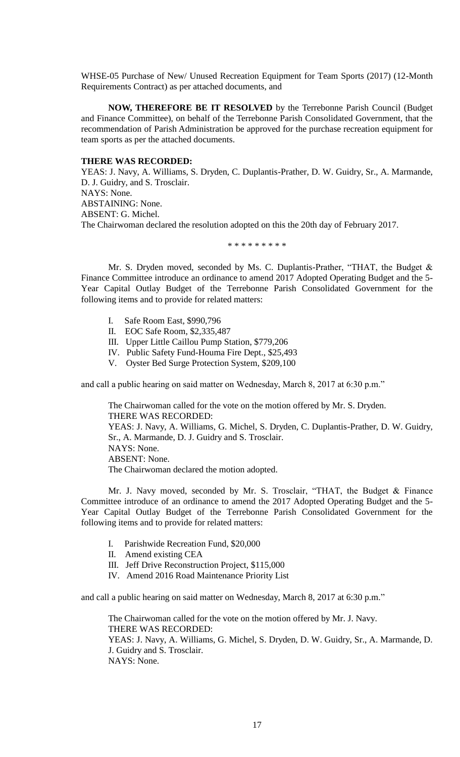WHSE-05 Purchase of New/ Unused Recreation Equipment for Team Sports (2017) (12-Month Requirements Contract) as per attached documents, and

**NOW, THEREFORE BE IT RESOLVED** by the Terrebonne Parish Council (Budget and Finance Committee), on behalf of the Terrebonne Parish Consolidated Government, that the recommendation of Parish Administration be approved for the purchase recreation equipment for team sports as per the attached documents.

#### **THERE WAS RECORDED:**

YEAS: J. Navy, A. Williams, S. Dryden, C. Duplantis-Prather, D. W. Guidry, Sr., A. Marmande, D. J. Guidry, and S. Trosclair. NAYS: None. ABSTAINING: None. ABSENT: G. Michel. The Chairwoman declared the resolution adopted on this the 20th day of February 2017.

#### \* \* \* \* \* \* \* \* \*

Mr. S. Dryden moved, seconded by Ms. C. Duplantis-Prather, "THAT, the Budget & Finance Committee introduce an ordinance to amend 2017 Adopted Operating Budget and the 5- Year Capital Outlay Budget of the Terrebonne Parish Consolidated Government for the following items and to provide for related matters:

- Safe Room East, \$990,796
- II. EOC Safe Room, \$2,335,487
- III. Upper Little Caillou Pump Station, \$779,206
- IV. Public Safety Fund-Houma Fire Dept., \$25,493
- V. Oyster Bed Surge Protection System, \$209,100

and call a public hearing on said matter on Wednesday, March 8, 2017 at 6:30 p.m."

The Chairwoman called for the vote on the motion offered by Mr. S. Dryden. THERE WAS RECORDED: YEAS: J. Navy, A. Williams, G. Michel, S. Dryden, C. Duplantis-Prather, D. W. Guidry, Sr., A. Marmande, D. J. Guidry and S. Trosclair. NAYS: None. ABSENT: None. The Chairwoman declared the motion adopted.

Mr. J. Navy moved, seconded by Mr. S. Trosclair, "THAT, the Budget & Finance Committee introduce of an ordinance to amend the 2017 Adopted Operating Budget and the 5- Year Capital Outlay Budget of the Terrebonne Parish Consolidated Government for the following items and to provide for related matters:

- I. Parishwide Recreation Fund, \$20,000
- II. Amend existing CEA
- III. Jeff Drive Reconstruction Project, \$115,000
- IV. Amend 2016 Road Maintenance Priority List

and call a public hearing on said matter on Wednesday, March 8, 2017 at 6:30 p.m."

The Chairwoman called for the vote on the motion offered by Mr. J. Navy. THERE WAS RECORDED: YEAS: J. Navy, A. Williams, G. Michel, S. Dryden, D. W. Guidry, Sr., A. Marmande, D. J. Guidry and S. Trosclair. NAYS: None.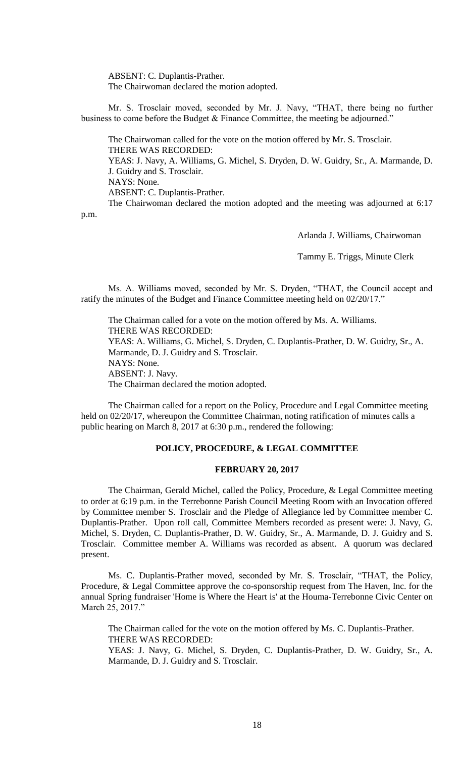ABSENT: C. Duplantis-Prather. The Chairwoman declared the motion adopted.

Mr. S. Trosclair moved, seconded by Mr. J. Navy, "THAT, there being no further business to come before the Budget & Finance Committee, the meeting be adjourned."

The Chairwoman called for the vote on the motion offered by Mr. S. Trosclair. THERE WAS RECORDED: YEAS: J. Navy, A. Williams, G. Michel, S. Dryden, D. W. Guidry, Sr., A. Marmande, D. J. Guidry and S. Trosclair. NAYS: None. ABSENT: C. Duplantis-Prather. The Chairwoman declared the motion adopted and the meeting was adjourned at 6:17

p.m.

Arlanda J. Williams, Chairwoman

Tammy E. Triggs, Minute Clerk

Ms. A. Williams moved, seconded by Mr. S. Dryden, "THAT, the Council accept and ratify the minutes of the Budget and Finance Committee meeting held on 02/20/17."

The Chairman called for a vote on the motion offered by Ms. A. Williams. THERE WAS RECORDED: YEAS: A. Williams, G. Michel, S. Dryden, C. Duplantis-Prather, D. W. Guidry, Sr., A. Marmande, D. J. Guidry and S. Trosclair. NAYS: None. ABSENT: J. Navy. The Chairman declared the motion adopted.

The Chairman called for a report on the Policy, Procedure and Legal Committee meeting held on 02/20/17, whereupon the Committee Chairman, noting ratification of minutes calls a public hearing on March 8, 2017 at 6:30 p.m., rendered the following:

### **POLICY, PROCEDURE, & LEGAL COMMITTEE**

### **FEBRUARY 20, 2017**

The Chairman, Gerald Michel, called the Policy, Procedure, & Legal Committee meeting to order at 6:19 p.m. in the Terrebonne Parish Council Meeting Room with an Invocation offered by Committee member S. Trosclair and the Pledge of Allegiance led by Committee member C. Duplantis-Prather. Upon roll call, Committee Members recorded as present were: J. Navy, G. Michel, S. Dryden, C. Duplantis-Prather, D. W. Guidry, Sr., A. Marmande, D. J. Guidry and S. Trosclair. Committee member A. Williams was recorded as absent. A quorum was declared present.

Ms. C. Duplantis-Prather moved, seconded by Mr. S. Trosclair, "THAT, the Policy, Procedure, & Legal Committee approve the co-sponsorship request from The Haven, Inc. for the annual Spring fundraiser 'Home is Where the Heart is' at the Houma-Terrebonne Civic Center on March 25, 2017."

The Chairman called for the vote on the motion offered by Ms. C. Duplantis-Prather. THERE WAS RECORDED: YEAS: J. Navy, G. Michel, S. Dryden, C. Duplantis-Prather, D. W. Guidry, Sr., A. Marmande, D. J. Guidry and S. Trosclair.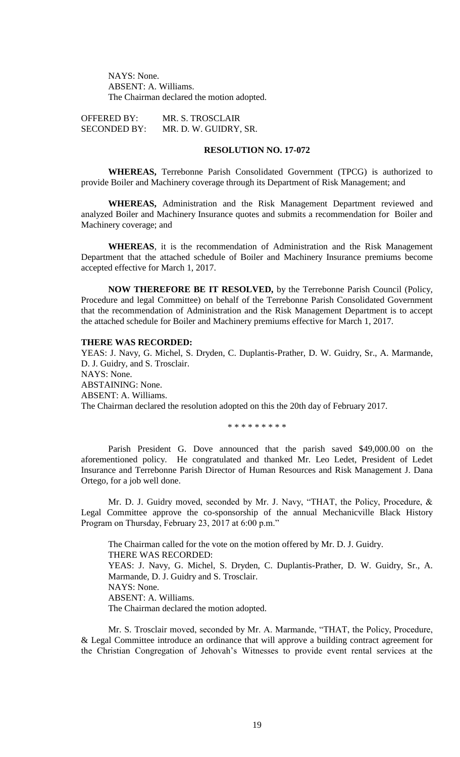NAYS: None. ABSENT: A. Williams. The Chairman declared the motion adopted.

OFFERED BY: MR. S. TROSCLAIR SECONDED BY: MR. D. W. GUIDRY, SR.

# **RESOLUTION NO. 17-072**

**WHEREAS,** Terrebonne Parish Consolidated Government (TPCG) is authorized to provide Boiler and Machinery coverage through its Department of Risk Management; and

**WHEREAS,** Administration and the Risk Management Department reviewed and analyzed Boiler and Machinery Insurance quotes and submits a recommendation for Boiler and Machinery coverage; and

**WHEREAS**, it is the recommendation of Administration and the Risk Management Department that the attached schedule of Boiler and Machinery Insurance premiums become accepted effective for March 1, 2017.

**NOW THEREFORE BE IT RESOLVED,** by the Terrebonne Parish Council (Policy, Procedure and legal Committee) on behalf of the Terrebonne Parish Consolidated Government that the recommendation of Administration and the Risk Management Department is to accept the attached schedule for Boiler and Machinery premiums effective for March 1, 2017.

#### **THERE WAS RECORDED:**

YEAS: J. Navy, G. Michel, S. Dryden, C. Duplantis-Prather, D. W. Guidry, Sr., A. Marmande, D. J. Guidry, and S. Trosclair. NAYS: None. ABSTAINING: None. ABSENT: A. Williams. The Chairman declared the resolution adopted on this the 20th day of February 2017.

\* \* \* \* \* \* \* \* \*

Parish President G. Dove announced that the parish saved \$49,000.00 on the aforementioned policy. He congratulated and thanked Mr. Leo Ledet, President of Ledet Insurance and Terrebonne Parish Director of Human Resources and Risk Management J. Dana Ortego, for a job well done.

Mr. D. J. Guidry moved, seconded by Mr. J. Navy, "THAT, the Policy, Procedure, & Legal Committee approve the co-sponsorship of the annual Mechanicville Black History Program on Thursday, February 23, 2017 at 6:00 p.m."

The Chairman called for the vote on the motion offered by Mr. D. J. Guidry. THERE WAS RECORDED: YEAS: J. Navy, G. Michel, S. Dryden, C. Duplantis-Prather, D. W. Guidry, Sr., A. Marmande, D. J. Guidry and S. Trosclair. NAYS: None. ABSENT: A. Williams. The Chairman declared the motion adopted.

Mr. S. Trosclair moved, seconded by Mr. A. Marmande, "THAT, the Policy, Procedure, & Legal Committee introduce an ordinance that will approve a building contract agreement for the Christian Congregation of Jehovah's Witnesses to provide event rental services at the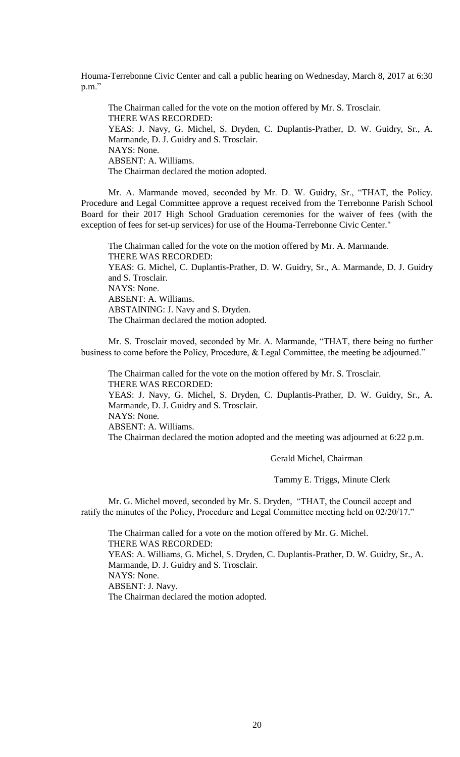Houma-Terrebonne Civic Center and call a public hearing on Wednesday, March 8, 2017 at 6:30 p.m."

The Chairman called for the vote on the motion offered by Mr. S. Trosclair. THERE WAS RECORDED: YEAS: J. Navy, G. Michel, S. Dryden, C. Duplantis-Prather, D. W. Guidry, Sr., A. Marmande, D. J. Guidry and S. Trosclair. NAYS: None. ABSENT: A. Williams. The Chairman declared the motion adopted.

Mr. A. Marmande moved, seconded by Mr. D. W. Guidry, Sr., "THAT, the Policy. Procedure and Legal Committee approve a request received from the Terrebonne Parish School Board for their 2017 High School Graduation ceremonies for the waiver of fees (with the exception of fees for set-up services) for use of the Houma-Terrebonne Civic Center."

The Chairman called for the vote on the motion offered by Mr. A. Marmande. THERE WAS RECORDED: YEAS: G. Michel, C. Duplantis-Prather, D. W. Guidry, Sr., A. Marmande, D. J. Guidry and S. Trosclair. NAYS: None. ABSENT: A. Williams. ABSTAINING: J. Navy and S. Dryden. The Chairman declared the motion adopted.

Mr. S. Trosclair moved, seconded by Mr. A. Marmande, "THAT, there being no further business to come before the Policy, Procedure, & Legal Committee, the meeting be adjourned."

The Chairman called for the vote on the motion offered by Mr. S. Trosclair. THERE WAS RECORDED:

YEAS: J. Navy, G. Michel, S. Dryden, C. Duplantis-Prather, D. W. Guidry, Sr., A. Marmande, D. J. Guidry and S. Trosclair.

NAYS: None.

ABSENT: A. Williams.

The Chairman declared the motion adopted and the meeting was adjourned at 6:22 p.m.

Gerald Michel, Chairman

Tammy E. Triggs, Minute Clerk

Mr. G. Michel moved, seconded by Mr. S. Dryden, "THAT, the Council accept and ratify the minutes of the Policy, Procedure and Legal Committee meeting held on 02/20/17."

The Chairman called for a vote on the motion offered by Mr. G. Michel. THERE WAS RECORDED: YEAS: A. Williams, G. Michel, S. Dryden, C. Duplantis-Prather, D. W. Guidry, Sr., A. Marmande, D. J. Guidry and S. Trosclair. NAYS: None. ABSENT: J. Navy. The Chairman declared the motion adopted.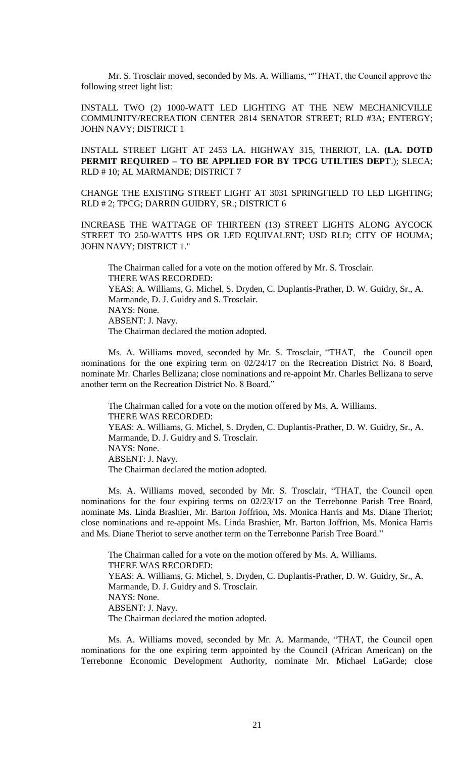Mr. S. Trosclair moved, seconded by Ms. A. Williams, ""THAT, the Council approve the following street light list:

INSTALL TWO (2) 1000-WATT LED LIGHTING AT THE NEW MECHANICVILLE COMMUNITY/RECREATION CENTER 2814 SENATOR STREET; RLD #3A; ENTERGY; JOHN NAVY; DISTRICT 1

INSTALL STREET LIGHT AT 2453 LA. HIGHWAY 315, THERIOT, LA. **(LA. DOTD PERMIT REQUIRED – TO BE APPLIED FOR BY TPCG UTILTIES DEPT**.); SLECA; RLD # 10; AL MARMANDE; DISTRICT 7

CHANGE THE EXISTING STREET LIGHT AT 3031 SPRINGFIELD TO LED LIGHTING; RLD # 2; TPCG; DARRIN GUIDRY, SR.; DISTRICT 6

INCREASE THE WATTAGE OF THIRTEEN (13) STREET LIGHTS ALONG AYCOCK STREET TO 250-WATTS HPS OR LED EQUIVALENT; USD RLD; CITY OF HOUMA; JOHN NAVY; DISTRICT 1."

The Chairman called for a vote on the motion offered by Mr. S. Trosclair. THERE WAS RECORDED: YEAS: A. Williams, G. Michel, S. Dryden, C. Duplantis-Prather, D. W. Guidry, Sr., A. Marmande, D. J. Guidry and S. Trosclair. NAYS: None. ABSENT: J. Navy. The Chairman declared the motion adopted.

Ms. A. Williams moved, seconded by Mr. S. Trosclair, "THAT, the Council open nominations for the one expiring term on 02/24/17 on the Recreation District No. 8 Board, nominate Mr. Charles Bellizana; close nominations and re-appoint Mr. Charles Bellizana to serve another term on the Recreation District No. 8 Board."

The Chairman called for a vote on the motion offered by Ms. A. Williams. THERE WAS RECORDED: YEAS: A. Williams, G. Michel, S. Dryden, C. Duplantis-Prather, D. W. Guidry, Sr., A. Marmande, D. J. Guidry and S. Trosclair. NAYS: None. ABSENT: J. Navy. The Chairman declared the motion adopted.

Ms. A. Williams moved, seconded by Mr. S. Trosclair, "THAT, the Council open nominations for the four expiring terms on 02/23/17 on the Terrebonne Parish Tree Board, nominate Ms. Linda Brashier, Mr. Barton Joffrion, Ms. Monica Harris and Ms. Diane Theriot; close nominations and re-appoint Ms. Linda Brashier, Mr. Barton Joffrion, Ms. Monica Harris and Ms. Diane Theriot to serve another term on the Terrebonne Parish Tree Board."

The Chairman called for a vote on the motion offered by Ms. A. Williams. THERE WAS RECORDED: YEAS: A. Williams, G. Michel, S. Dryden, C. Duplantis-Prather, D. W. Guidry, Sr., A. Marmande, D. J. Guidry and S. Trosclair. NAYS: None. ABSENT: J. Navy. The Chairman declared the motion adopted.

Ms. A. Williams moved, seconded by Mr. A. Marmande, "THAT, the Council open nominations for the one expiring term appointed by the Council (African American) on the Terrebonne Economic Development Authority, nominate Mr. Michael LaGarde; close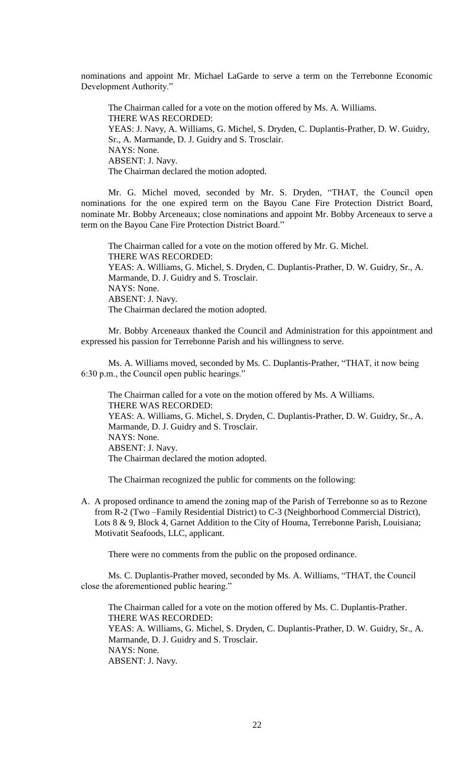nominations and appoint Mr. Michael LaGarde to serve a term on the Terrebonne Economic Development Authority."

The Chairman called for a vote on the motion offered by Ms. A. Williams. THERE WAS RECORDED: YEAS: J. Navy, A. Williams, G. Michel, S. Dryden, C. Duplantis-Prather, D. W. Guidry, Sr., A. Marmande, D. J. Guidry and S. Trosclair. NAYS: None. ABSENT: J. Navy. The Chairman declared the motion adopted.

Mr. G. Michel moved, seconded by Mr. S. Dryden, "THAT, the Council open nominations for the one expired term on the Bayou Cane Fire Protection District Board, nominate Mr. Bobby Arceneaux; close nominations and appoint Mr. Bobby Arceneaux to serve a term on the Bayou Cane Fire Protection District Board."

The Chairman called for a vote on the motion offered by Mr. G. Michel. THERE WAS RECORDED: YEAS: A. Williams, G. Michel, S. Dryden, C. Duplantis-Prather, D. W. Guidry, Sr., A. Marmande, D. J. Guidry and S. Trosclair. NAYS: None. ABSENT: J. Navy. The Chairman declared the motion adopted.

 Mr. Bobby Arceneaux thanked the Council and Administration for this appointment and expressed his passion for Terrebonne Parish and his willingness to serve.

Ms. A. Williams moved, seconded by Ms. C. Duplantis-Prather, "THAT, it now being 6:30 p.m., the Council open public hearings."

The Chairman called for a vote on the motion offered by Ms. A Williams. THERE WAS RECORDED: YEAS: A. Williams, G. Michel, S. Dryden, C. Duplantis-Prather, D. W. Guidry, Sr., A. Marmande, D. J. Guidry and S. Trosclair. NAYS: None. ABSENT: J. Navy. The Chairman declared the motion adopted.

The Chairman recognized the public for comments on the following:

A. A proposed ordinance to amend the zoning map of the Parish of Terrebonne so as to Rezone from R-2 (Two –Family Residential District) to C-3 (Neighborhood Commercial District), Lots 8 & 9, Block 4, Garnet Addition to the City of Houma, Terrebonne Parish, Louisiana; Motivatit Seafoods, LLC, applicant.

There were no comments from the public on the proposed ordinance.

Ms. C. Duplantis-Prather moved, seconded by Ms. A. Williams, "THAT, the Council close the aforementioned public hearing."

The Chairman called for a vote on the motion offered by Ms. C. Duplantis-Prather. THERE WAS RECORDED: YEAS: A. Williams, G. Michel, S. Dryden, C. Duplantis-Prather, D. W. Guidry, Sr., A. Marmande, D. J. Guidry and S. Trosclair. NAYS: None.

ABSENT: J. Navy.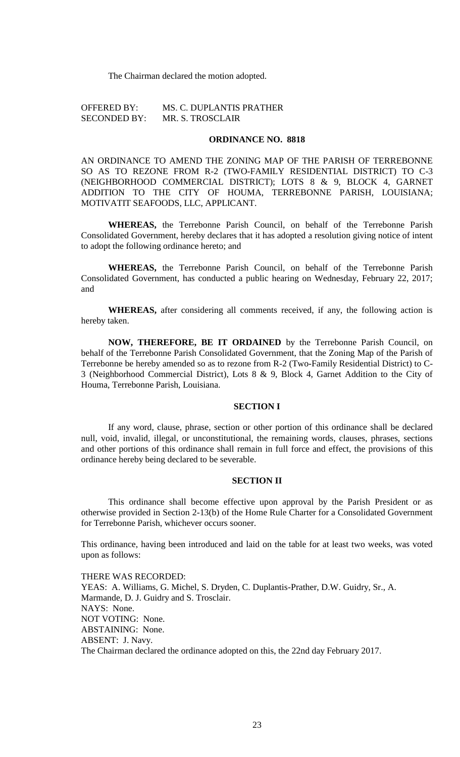The Chairman declared the motion adopted.

OFFERED BY: MS. C. DUPLANTIS PRATHER SECONDED BY: MR. S. TROSCLAIR

## **ORDINANCE NO. 8818**

AN ORDINANCE TO AMEND THE ZONING MAP OF THE PARISH OF TERREBONNE SO AS TO REZONE FROM R-2 (TWO-FAMILY RESIDENTIAL DISTRICT) TO C-3 (NEIGHBORHOOD COMMERCIAL DISTRICT); LOTS 8 & 9, BLOCK 4, GARNET ADDITION TO THE CITY OF HOUMA, TERREBONNE PARISH, LOUISIANA; MOTIVATIT SEAFOODS, LLC, APPLICANT.

**WHEREAS,** the Terrebonne Parish Council, on behalf of the Terrebonne Parish Consolidated Government, hereby declares that it has adopted a resolution giving notice of intent to adopt the following ordinance hereto; and

**WHEREAS,** the Terrebonne Parish Council, on behalf of the Terrebonne Parish Consolidated Government, has conducted a public hearing on Wednesday, February 22, 2017; and

**WHEREAS,** after considering all comments received, if any, the following action is hereby taken.

**NOW, THEREFORE, BE IT ORDAINED** by the Terrebonne Parish Council, on behalf of the Terrebonne Parish Consolidated Government, that the Zoning Map of the Parish of Terrebonne be hereby amended so as to rezone from R-2 (Two-Family Residential District) to C-3 (Neighborhood Commercial District), Lots 8 & 9, Block 4, Garnet Addition to the City of Houma, Terrebonne Parish, Louisiana.

### **SECTION I**

If any word, clause, phrase, section or other portion of this ordinance shall be declared null, void, invalid, illegal, or unconstitutional, the remaining words, clauses, phrases, sections and other portions of this ordinance shall remain in full force and effect, the provisions of this ordinance hereby being declared to be severable.

### **SECTION II**

This ordinance shall become effective upon approval by the Parish President or as otherwise provided in Section 2-13(b) of the Home Rule Charter for a Consolidated Government for Terrebonne Parish, whichever occurs sooner.

This ordinance, having been introduced and laid on the table for at least two weeks, was voted upon as follows:

THERE WAS RECORDED: YEAS: A. Williams, G. Michel, S. Dryden, C. Duplantis-Prather, D.W. Guidry, Sr., A. Marmande, D. J. Guidry and S. Trosclair. NAYS: None. NOT VOTING: None. ABSTAINING: None. ABSENT: J. Navy. The Chairman declared the ordinance adopted on this, the 22nd day February 2017.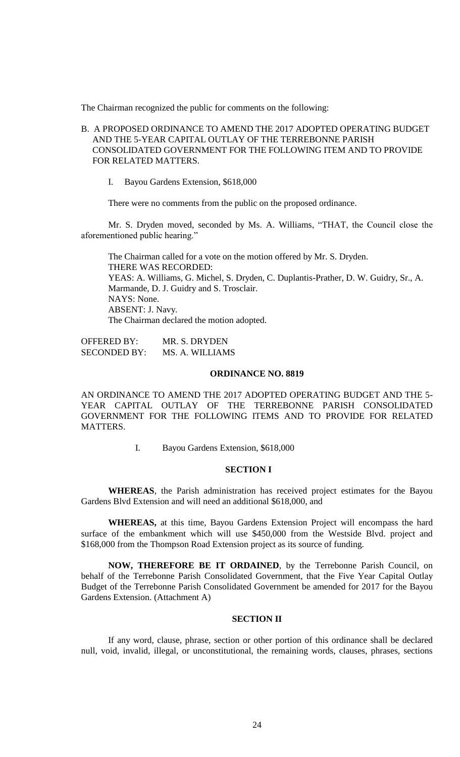The Chairman recognized the public for comments on the following:

- B. A PROPOSED ORDINANCE TO AMEND THE 2017 ADOPTED OPERATING BUDGET AND THE 5-YEAR CAPITAL OUTLAY OF THE TERREBONNE PARISH CONSOLIDATED GOVERNMENT FOR THE FOLLOWING ITEM AND TO PROVIDE FOR RELATED MATTERS.
	- I. Bayou Gardens Extension, \$618,000

There were no comments from the public on the proposed ordinance.

Mr. S. Dryden moved, seconded by Ms. A. Williams, "THAT, the Council close the aforementioned public hearing."

The Chairman called for a vote on the motion offered by Mr. S. Dryden. THERE WAS RECORDED: YEAS: A. Williams, G. Michel, S. Dryden, C. Duplantis-Prather, D. W. Guidry, Sr., A. Marmande, D. J. Guidry and S. Trosclair. NAYS: None. ABSENT: J. Navy. The Chairman declared the motion adopted.

OFFERED BY: MR. S. DRYDEN SECONDED BY: MS. A. WILLIAMS

#### **ORDINANCE NO. 8819**

AN ORDINANCE TO AMEND THE 2017 ADOPTED OPERATING BUDGET AND THE 5- YEAR CAPITAL OUTLAY OF THE TERREBONNE PARISH CONSOLIDATED GOVERNMENT FOR THE FOLLOWING ITEMS AND TO PROVIDE FOR RELATED MATTERS.

I. Bayou Gardens Extension, \$618,000

#### **SECTION I**

**WHEREAS**, the Parish administration has received project estimates for the Bayou Gardens Blvd Extension and will need an additional \$618,000, and

**WHEREAS,** at this time, Bayou Gardens Extension Project will encompass the hard surface of the embankment which will use \$450,000 from the Westside Blvd. project and \$168,000 from the Thompson Road Extension project as its source of funding.

**NOW, THEREFORE BE IT ORDAINED**, by the Terrebonne Parish Council, on behalf of the Terrebonne Parish Consolidated Government, that the Five Year Capital Outlay Budget of the Terrebonne Parish Consolidated Government be amended for 2017 for the Bayou Gardens Extension. (Attachment A)

#### **SECTION II**

If any word, clause, phrase, section or other portion of this ordinance shall be declared null, void, invalid, illegal, or unconstitutional, the remaining words, clauses, phrases, sections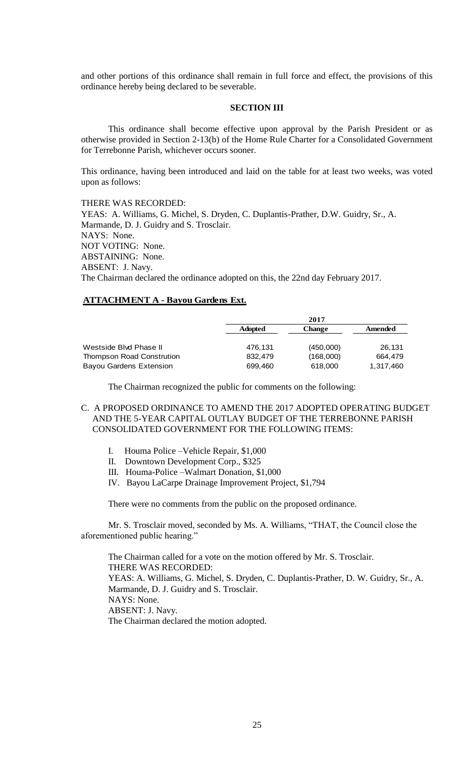and other portions of this ordinance shall remain in full force and effect, the provisions of this ordinance hereby being declared to be severable.

### **SECTION III**

This ordinance shall become effective upon approval by the Parish President or as otherwise provided in Section 2-13(b) of the Home Rule Charter for a Consolidated Government for Terrebonne Parish, whichever occurs sooner.

This ordinance, having been introduced and laid on the table for at least two weeks, was voted upon as follows:

THERE WAS RECORDED: YEAS: A. Williams, G. Michel, S. Dryden, C. Duplantis-Prather, D.W. Guidry, Sr., A. Marmande, D. J. Guidry and S. Trosclair. NAYS: None. NOT VOTING: None. ABSTAINING: None. ABSENT: J. Navy.

The Chairman declared the ordinance adopted on this, the 22nd day February 2017.

## **ATTACHMENT A - Bayou Gardens Ext.**

|                                  | 2017           |               |                |
|----------------------------------|----------------|---------------|----------------|
|                                  | <b>Adopted</b> | <b>Change</b> | <b>Amended</b> |
|                                  |                |               |                |
| Westside Blvd Phase II           | 476.131        | (450,000)     | 26.131         |
| <b>Thompson Road Constrution</b> | 832.479        | (168,000)     | 664.479        |
| <b>Bayou Gardens Extension</b>   | 699.460        | 618,000       | 1,317,460      |

The Chairman recognized the public for comments on the following:

- C. A PROPOSED ORDINANCE TO AMEND THE 2017 ADOPTED OPERATING BUDGET AND THE 5-YEAR CAPITAL OUTLAY BUDGET OF THE TERREBONNE PARISH CONSOLIDATED GOVERNMENT FOR THE FOLLOWING ITEMS:
	- I. Houma Police –Vehicle Repair, \$1,000
	- II. Downtown Development Corp., \$325
	- III. Houma-Police –Walmart Donation, \$1,000
	- IV. Bayou LaCarpe Drainage Improvement Project, \$1,794

There were no comments from the public on the proposed ordinance.

Mr. S. Trosclair moved, seconded by Ms. A. Williams, "THAT, the Council close the aforementioned public hearing."

The Chairman called for a vote on the motion offered by Mr. S. Trosclair. THERE WAS RECORDED: YEAS: A. Williams, G. Michel, S. Dryden, C. Duplantis-Prather, D. W. Guidry, Sr., A. Marmande, D. J. Guidry and S. Trosclair. NAYS: None. ABSENT: J. Navy. The Chairman declared the motion adopted.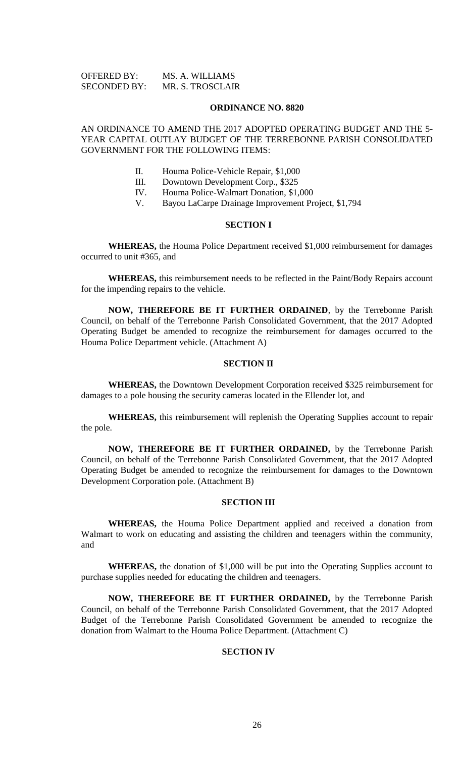| <b>OFFERED BY:</b>  | MS. A. WILLIAMS  |
|---------------------|------------------|
| <b>SECONDED BY:</b> | MR. S. TROSCLAIR |

#### **ORDINANCE NO. 8820**

# AN ORDINANCE TO AMEND THE 2017 ADOPTED OPERATING BUDGET AND THE 5- YEAR CAPITAL OUTLAY BUDGET OF THE TERREBONNE PARISH CONSOLIDATED GOVERNMENT FOR THE FOLLOWING ITEMS:

- II. Houma Police-Vehicle Repair, \$1,000
- III. Downtown Development Corp., \$325
- IV. Houma Police-Walmart Donation, \$1,000
- V. Bayou LaCarpe Drainage Improvement Project, \$1,794

### **SECTION I**

**WHEREAS,** the Houma Police Department received \$1,000 reimbursement for damages occurred to unit #365, and

**WHEREAS,** this reimbursement needs to be reflected in the Paint/Body Repairs account for the impending repairs to the vehicle.

**NOW, THEREFORE BE IT FURTHER ORDAINED**, by the Terrebonne Parish Council, on behalf of the Terrebonne Parish Consolidated Government, that the 2017 Adopted Operating Budget be amended to recognize the reimbursement for damages occurred to the Houma Police Department vehicle. (Attachment A)

### **SECTION II**

**WHEREAS,** the Downtown Development Corporation received \$325 reimbursement for damages to a pole housing the security cameras located in the Ellender lot, and

**WHEREAS,** this reimbursement will replenish the Operating Supplies account to repair the pole.

**NOW, THEREFORE BE IT FURTHER ORDAINED,** by the Terrebonne Parish Council, on behalf of the Terrebonne Parish Consolidated Government, that the 2017 Adopted Operating Budget be amended to recognize the reimbursement for damages to the Downtown Development Corporation pole. (Attachment B)

## **SECTION III**

**WHEREAS,** the Houma Police Department applied and received a donation from Walmart to work on educating and assisting the children and teenagers within the community, and

**WHEREAS,** the donation of \$1,000 will be put into the Operating Supplies account to purchase supplies needed for educating the children and teenagers.

**NOW, THEREFORE BE IT FURTHER ORDAINED,** by the Terrebonne Parish Council, on behalf of the Terrebonne Parish Consolidated Government, that the 2017 Adopted Budget of the Terrebonne Parish Consolidated Government be amended to recognize the donation from Walmart to the Houma Police Department. (Attachment C)

## **SECTION IV**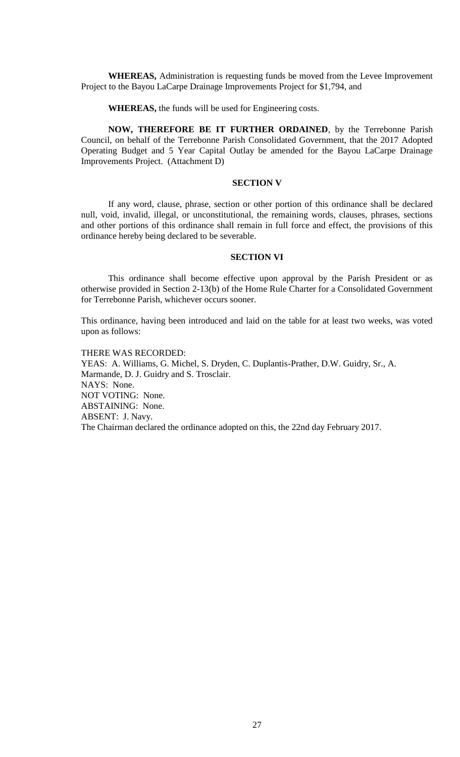**WHEREAS,** Administration is requesting funds be moved from the Levee Improvement Project to the Bayou LaCarpe Drainage Improvements Project for \$1,794, and

**WHEREAS,** the funds will be used for Engineering costs.

**NOW, THEREFORE BE IT FURTHER ORDAINED**, by the Terrebonne Parish Council, on behalf of the Terrebonne Parish Consolidated Government, that the 2017 Adopted Operating Budget and 5 Year Capital Outlay be amended for the Bayou LaCarpe Drainage Improvements Project. (Attachment D)

## **SECTION V**

If any word, clause, phrase, section or other portion of this ordinance shall be declared null, void, invalid, illegal, or unconstitutional, the remaining words, clauses, phrases, sections and other portions of this ordinance shall remain in full force and effect, the provisions of this ordinance hereby being declared to be severable.

#### **SECTION VI**

This ordinance shall become effective upon approval by the Parish President or as otherwise provided in Section 2-13(b) of the Home Rule Charter for a Consolidated Government for Terrebonne Parish, whichever occurs sooner.

This ordinance, having been introduced and laid on the table for at least two weeks, was voted upon as follows:

THERE WAS RECORDED: YEAS: A. Williams, G. Michel, S. Dryden, C. Duplantis-Prather, D.W. Guidry, Sr., A. Marmande, D. J. Guidry and S. Trosclair. NAYS: None. NOT VOTING: None. ABSTAINING: None. ABSENT: J. Navy. The Chairman declared the ordinance adopted on this, the 22nd day February 2017.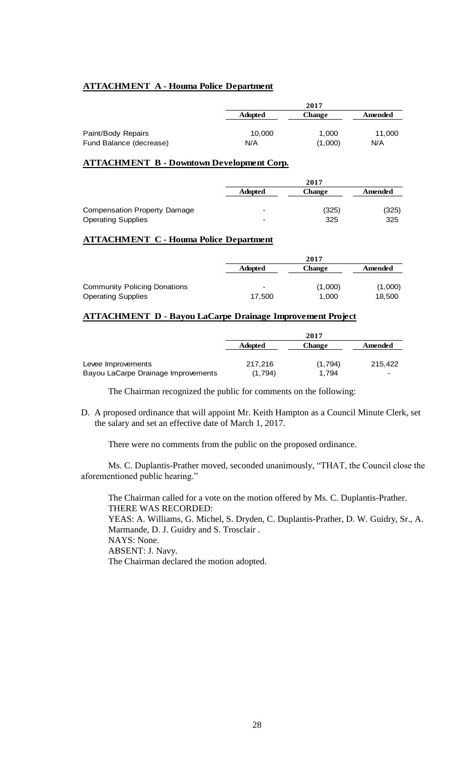# **ATTACHMENT A - Houma Police Department**

|                         | 2017           |               |         |
|-------------------------|----------------|---------------|---------|
|                         | <b>Adopted</b> | <b>Change</b> | Amended |
|                         |                |               |         |
| Paint/Body Repairs      | 10.000         | 1.000         | 11,000  |
| Fund Balance (decrease) | N/A            | (1,000)       | N/A     |

## **ATTACHMENT B - Downtown Development Corp.**

|                              | 2017            |               |         |
|------------------------------|-----------------|---------------|---------|
|                              | <b>Adopted</b>  | <b>Change</b> | Amended |
| Compensation Property Damage | $\qquad \qquad$ | (325)         | (325)   |
| <b>Operating Supplies</b>    | $\qquad \qquad$ | 325           | 325     |

### **ATTACHMENT C - Houma Police Department**

|                                     | 2017           |         |         |
|-------------------------------------|----------------|---------|---------|
|                                     | <b>Adopted</b> | Change  | Amended |
| <b>Community Policing Donations</b> | $\,$           | (1,000) | (1,000) |
| <b>Operating Supplies</b>           | 17.500         | 1.000   | 18,500  |

# **ATTACHMENT D - Bayou LaCarpe Drainage Improvement Project**

|                                     | 2017           |               |         |
|-------------------------------------|----------------|---------------|---------|
|                                     | <b>Adopted</b> | <b>Change</b> | Amended |
|                                     |                |               |         |
| Levee Improvements                  | 217,216        | (1,794)       | 215,422 |
| Bayou LaCarpe Drainage Improvements | (1.794)        | 1.794         | -       |

The Chairman recognized the public for comments on the following:

D. A proposed ordinance that will appoint Mr. Keith Hampton as a Council Minute Clerk, set the salary and set an effective date of March 1, 2017.

There were no comments from the public on the proposed ordinance.

Ms. C. Duplantis-Prather moved, seconded unanimously, "THAT, the Council close the aforementioned public hearing."

The Chairman called for a vote on the motion offered by Ms. C. Duplantis-Prather. THERE WAS RECORDED: YEAS: A. Williams, G. Michel, S. Dryden, C. Duplantis-Prather, D. W. Guidry, Sr., A. Marmande, D. J. Guidry and S. Trosclair . NAYS: None. ABSENT: J. Navy. The Chairman declared the motion adopted.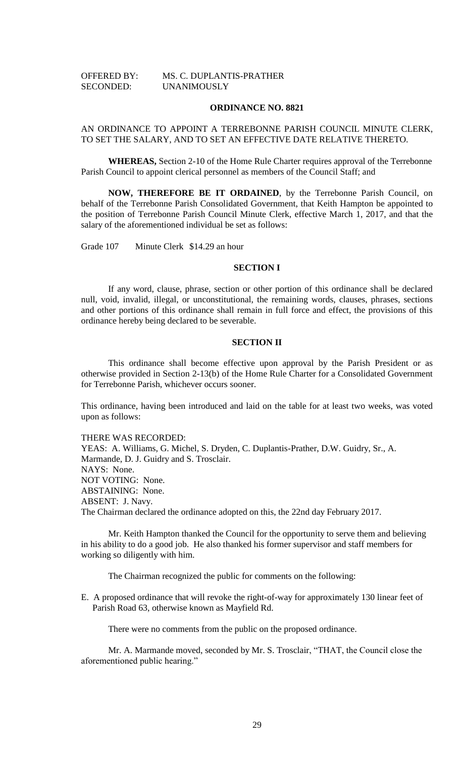| <b>OFFERED BY:</b> | MS. C. DUPLANTIS-PRATHER |
|--------------------|--------------------------|
| <b>SECONDED:</b>   | <b>UNANIMOUSLY</b>       |

#### **ORDINANCE NO. 8821**

# AN ORDINANCE TO APPOINT A TERREBONNE PARISH COUNCIL MINUTE CLERK, TO SET THE SALARY, AND TO SET AN EFFECTIVE DATE RELATIVE THERETO.

**WHEREAS,** Section 2-10 of the Home Rule Charter requires approval of the Terrebonne Parish Council to appoint clerical personnel as members of the Council Staff; and

**NOW, THEREFORE BE IT ORDAINED**, by the Terrebonne Parish Council, on behalf of the Terrebonne Parish Consolidated Government, that Keith Hampton be appointed to the position of Terrebonne Parish Council Minute Clerk, effective March 1, 2017, and that the salary of the aforementioned individual be set as follows:

Grade 107 Minute Clerk \$14.29 an hour

### **SECTION I**

If any word, clause, phrase, section or other portion of this ordinance shall be declared null, void, invalid, illegal, or unconstitutional, the remaining words, clauses, phrases, sections and other portions of this ordinance shall remain in full force and effect, the provisions of this ordinance hereby being declared to be severable.

### **SECTION II**

This ordinance shall become effective upon approval by the Parish President or as otherwise provided in Section 2-13(b) of the Home Rule Charter for a Consolidated Government for Terrebonne Parish, whichever occurs sooner.

This ordinance, having been introduced and laid on the table for at least two weeks, was voted upon as follows:

THERE WAS RECORDED:

YEAS: A. Williams, G. Michel, S. Dryden, C. Duplantis-Prather, D.W. Guidry, Sr., A. Marmande, D. J. Guidry and S. Trosclair. NAYS: None. NOT VOTING: None. ABSTAINING: None. ABSENT: J. Navy. The Chairman declared the ordinance adopted on this, the 22nd day February 2017.

Mr. Keith Hampton thanked the Council for the opportunity to serve them and believing in his ability to do a good job. He also thanked his former supervisor and staff members for working so diligently with him.

The Chairman recognized the public for comments on the following:

E. A proposed ordinance that will revoke the right-of-way for approximately 130 linear feet of Parish Road 63, otherwise known as Mayfield Rd.

There were no comments from the public on the proposed ordinance.

Mr. A. Marmande moved, seconded by Mr. S. Trosclair, "THAT, the Council close the aforementioned public hearing."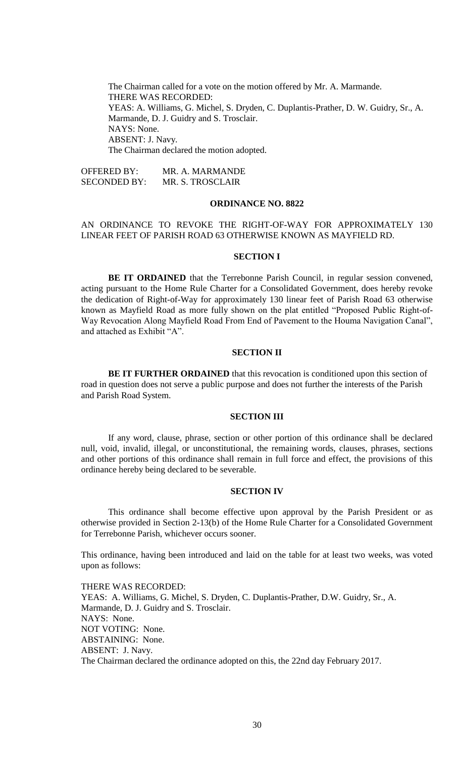The Chairman called for a vote on the motion offered by Mr. A. Marmande. THERE WAS RECORDED: YEAS: A. Williams, G. Michel, S. Dryden, C. Duplantis-Prather, D. W. Guidry, Sr., A. Marmande, D. J. Guidry and S. Trosclair. NAYS: None. ABSENT: J. Navy. The Chairman declared the motion adopted.

OFFERED BY: MR. A. MARMANDE SECONDED BY: MR. S. TROSCLAIR

#### **ORDINANCE NO. 8822**

## AN ORDINANCE TO REVOKE THE RIGHT-OF-WAY FOR APPROXIMATELY 130 LINEAR FEET OF PARISH ROAD 63 OTHERWISE KNOWN AS MAYFIELD RD.

#### **SECTION I**

BE IT ORDAINED that the Terrebonne Parish Council, in regular session convened, acting pursuant to the Home Rule Charter for a Consolidated Government, does hereby revoke the dedication of Right-of-Way for approximately 130 linear feet of Parish Road 63 otherwise known as Mayfield Road as more fully shown on the plat entitled "Proposed Public Right-of-Way Revocation Along Mayfield Road From End of Pavement to the Houma Navigation Canal", and attached as Exhibit "A".

### **SECTION II**

**BE IT FURTHER ORDAINED** that this revocation is conditioned upon this section of road in question does not serve a public purpose and does not further the interests of the Parish and Parish Road System.

### **SECTION III**

If any word, clause, phrase, section or other portion of this ordinance shall be declared null, void, invalid, illegal, or unconstitutional, the remaining words, clauses, phrases, sections and other portions of this ordinance shall remain in full force and effect, the provisions of this ordinance hereby being declared to be severable.

#### **SECTION IV**

This ordinance shall become effective upon approval by the Parish President or as otherwise provided in Section 2-13(b) of the Home Rule Charter for a Consolidated Government for Terrebonne Parish, whichever occurs sooner.

This ordinance, having been introduced and laid on the table for at least two weeks, was voted upon as follows:

THERE WAS RECORDED: YEAS: A. Williams, G. Michel, S. Dryden, C. Duplantis-Prather, D.W. Guidry, Sr., A. Marmande, D. J. Guidry and S. Trosclair. NAYS: None. NOT VOTING: None. ABSTAINING: None. ABSENT: J. Navy. The Chairman declared the ordinance adopted on this, the 22nd day February 2017.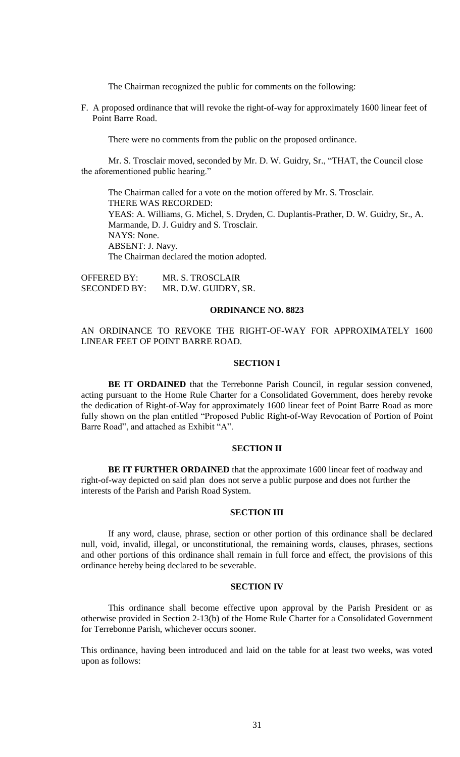The Chairman recognized the public for comments on the following:

F. A proposed ordinance that will revoke the right-of-way for approximately 1600 linear feet of Point Barre Road.

There were no comments from the public on the proposed ordinance.

Mr. S. Trosclair moved, seconded by Mr. D. W. Guidry, Sr., "THAT, the Council close the aforementioned public hearing."

The Chairman called for a vote on the motion offered by Mr. S. Trosclair. THERE WAS RECORDED: YEAS: A. Williams, G. Michel, S. Dryden, C. Duplantis-Prather, D. W. Guidry, Sr., A. Marmande, D. J. Guidry and S. Trosclair. NAYS: None. ABSENT: J. Navy. The Chairman declared the motion adopted.

OFFERED BY: MR. S. TROSCLAIR SECONDED BY: MR. D.W. GUIDRY, SR.

#### **ORDINANCE NO. 8823**

# AN ORDINANCE TO REVOKE THE RIGHT-OF-WAY FOR APPROXIMATELY 1600 LINEAR FEET OF POINT BARRE ROAD.

### **SECTION I**

BE IT ORDAINED that the Terrebonne Parish Council, in regular session convened, acting pursuant to the Home Rule Charter for a Consolidated Government, does hereby revoke the dedication of Right-of-Way for approximately 1600 linear feet of Point Barre Road as more fully shown on the plan entitled "Proposed Public Right-of-Way Revocation of Portion of Point Barre Road", and attached as Exhibit "A".

# **SECTION II**

**BE IT FURTHER ORDAINED** that the approximate 1600 linear feet of roadway and right-of-way depicted on said plan does not serve a public purpose and does not further the interests of the Parish and Parish Road System.

### **SECTION III**

If any word, clause, phrase, section or other portion of this ordinance shall be declared null, void, invalid, illegal, or unconstitutional, the remaining words, clauses, phrases, sections and other portions of this ordinance shall remain in full force and effect, the provisions of this ordinance hereby being declared to be severable.

### **SECTION IV**

This ordinance shall become effective upon approval by the Parish President or as otherwise provided in Section 2-13(b) of the Home Rule Charter for a Consolidated Government for Terrebonne Parish, whichever occurs sooner.

This ordinance, having been introduced and laid on the table for at least two weeks, was voted upon as follows: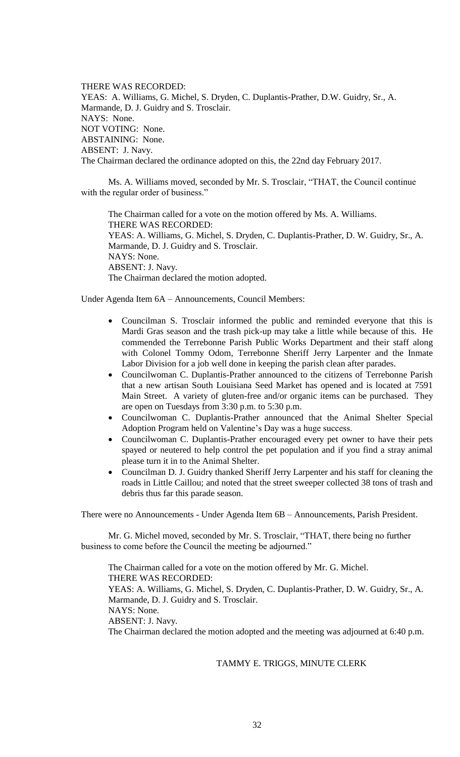THERE WAS RECORDED: YEAS: A. Williams, G. Michel, S. Dryden, C. Duplantis-Prather, D.W. Guidry, Sr., A. Marmande, D. J. Guidry and S. Trosclair. NAYS: None. NOT VOTING: None. ABSTAINING: None. ABSENT: J. Navy. The Chairman declared the ordinance adopted on this, the 22nd day February 2017.

Ms. A. Williams moved, seconded by Mr. S. Trosclair, "THAT, the Council continue with the regular order of business."

The Chairman called for a vote on the motion offered by Ms. A. Williams. THERE WAS RECORDED: YEAS: A. Williams, G. Michel, S. Dryden, C. Duplantis-Prather, D. W. Guidry, Sr., A. Marmande, D. J. Guidry and S. Trosclair. NAYS: None. ABSENT: J. Navy. The Chairman declared the motion adopted.

Under Agenda Item 6A – Announcements, Council Members:

- Councilman S. Trosclair informed the public and reminded everyone that this is Mardi Gras season and the trash pick-up may take a little while because of this. He commended the Terrebonne Parish Public Works Department and their staff along with Colonel Tommy Odom, Terrebonne Sheriff Jerry Larpenter and the Inmate Labor Division for a job well done in keeping the parish clean after parades.
- Councilwoman C. Duplantis-Prather announced to the citizens of Terrebonne Parish that a new artisan South Louisiana Seed Market has opened and is located at 7591 Main Street. A variety of gluten-free and/or organic items can be purchased. They are open on Tuesdays from 3:30 p.m. to 5:30 p.m.
- Councilwoman C. Duplantis-Prather announced that the Animal Shelter Special Adoption Program held on Valentine's Day was a huge success.
- Councilwoman C. Duplantis-Prather encouraged every pet owner to have their pets spayed or neutered to help control the pet population and if you find a stray animal please turn it in to the Animal Shelter.
- Councilman D. J. Guidry thanked Sheriff Jerry Larpenter and his staff for cleaning the roads in Little Caillou; and noted that the street sweeper collected 38 tons of trash and debris thus far this parade season.

There were no Announcements - Under Agenda Item 6B – Announcements, Parish President.

Mr. G. Michel moved, seconded by Mr. S. Trosclair, "THAT, there being no further business to come before the Council the meeting be adjourned."

The Chairman called for a vote on the motion offered by Mr. G. Michel. THERE WAS RECORDED: YEAS: A. Williams, G. Michel, S. Dryden, C. Duplantis-Prather, D. W. Guidry, Sr., A. Marmande, D. J. Guidry and S. Trosclair. NAYS: None. ABSENT: J. Navy. The Chairman declared the motion adopted and the meeting was adjourned at 6:40 p.m.

TAMMY E. TRIGGS, MINUTE CLERK